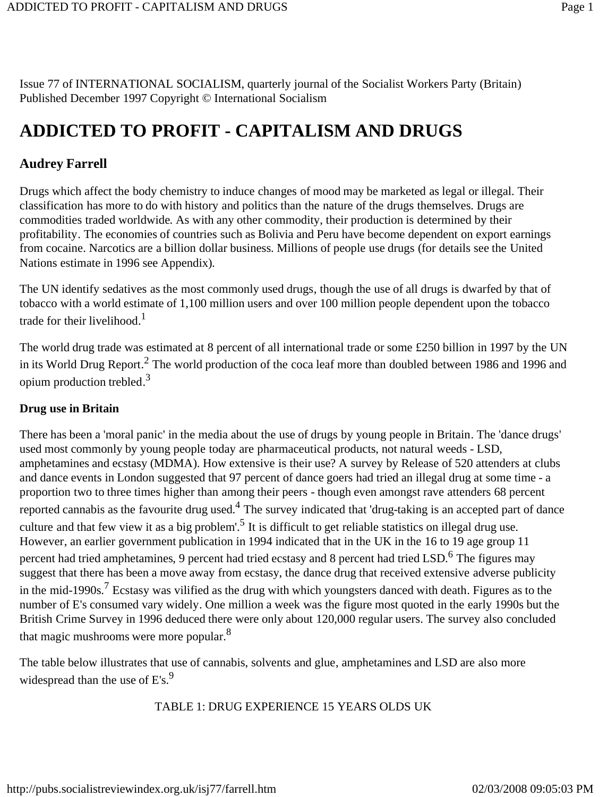Issue 77 of INTERNATIONAL SOCIALISM, quarterly journal of the Socialist Workers Party (Britain) Published December 1997 Copyright © International Socialism

# **ADDICTED TO PROFIT - CAPITALISM AND DRUGS**

### **Audrey Farrell**

Drugs which affect the body chemistry to induce changes of mood may be marketed as legal or illegal. Their classification has more to do with history and politics than the nature of the drugs themselves. Drugs are commodities traded worldwide. As with any other commodity, their production is determined by their profitability. The economies of countries such as Bolivia and Peru have become dependent on export earnings from cocaine. Narcotics are a billion dollar business. Millions of people use drugs (for details see the United Nations estimate in 1996 see Appendix).

The UN identify sedatives as the most commonly used drugs, though the use of all drugs is dwarfed by that of tobacco with a world estimate of 1,100 million users and over 100 million people dependent upon the tobacco trade for their livelihood.<sup>1</sup>

The world drug trade was estimated at 8 percent of all international trade or some £250 billion in 1997 by the UN in its World Drug Report.<sup>2</sup> The world production of the coca leaf more than doubled between 1986 and 1996 and opium production trebled.3

#### **Drug use in Britain**

There has been a 'moral panic' in the media about the use of drugs by young people in Britain. The 'dance drugs' used most commonly by young people today are pharmaceutical products, not natural weeds - LSD, amphetamines and ecstasy (MDMA). How extensive is their use? A survey by Release of 520 attenders at clubs and dance events in London suggested that 97 percent of dance goers had tried an illegal drug at some time - a proportion two to three times higher than among their peers - though even amongst rave attenders 68 percent reported cannabis as the favourite drug used.<sup>4</sup> The survey indicated that 'drug-taking is an accepted part of dance culture and that few view it as a big problem'.<sup>5</sup> It is difficult to get reliable statistics on illegal drug use. However, an earlier government publication in 1994 indicated that in the UK in the 16 to 19 age group 11 percent had tried amphetamines, 9 percent had tried ecstasy and 8 percent had tried LSD.<sup>6</sup> The figures may suggest that there has been a move away from ecstasy, the dance drug that received extensive adverse publicity in the mid-1990s.7 Ecstasy was vilified as the drug with which youngsters danced with death. Figures as to the number of E's consumed vary widely. One million a week was the figure most quoted in the early 1990s but the British Crime Survey in 1996 deduced there were only about 120,000 regular users. The survey also concluded that magic mushrooms were more popular.<sup>8</sup>

The table below illustrates that use of cannabis, solvents and glue, amphetamines and LSD are also more widespread than the use of  $E's$ .<sup>9</sup>

#### TABLE 1: DRUG EXPERIENCE 15 YEARS OLDS UK

http://pubs.socialistreviewindex.org.uk/isj77/farrell.htm 02/03/2008 09:05:03 PM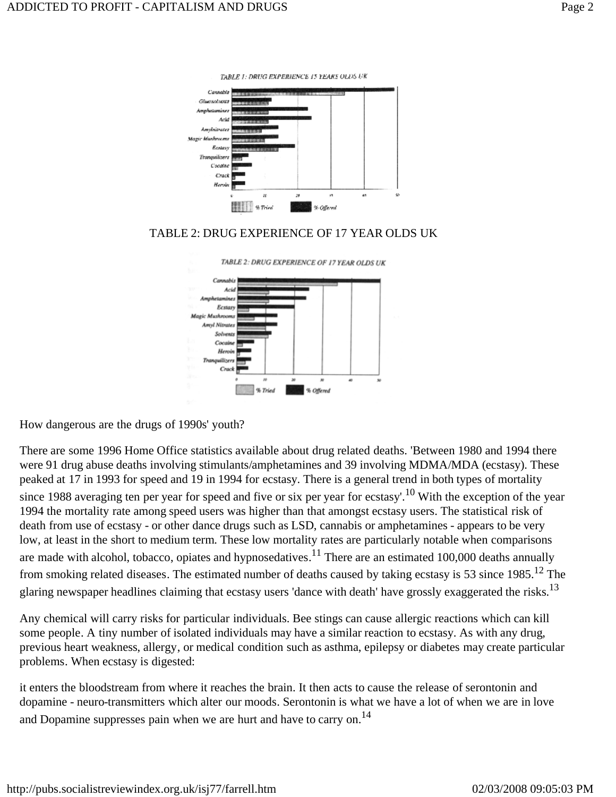

TABLE 1: DRUG EXPERIENCE 15 YEARS OLDS UK

#### TABLE 2: DRUG EXPERIENCE OF 17 YEAR OLDS UK



How dangerous are the drugs of 1990s' youth?

There are some 1996 Home Office statistics available about drug related deaths. 'Between 1980 and 1994 there were 91 drug abuse deaths involving stimulants/amphetamines and 39 involving MDMA/MDA (ecstasy). These peaked at 17 in 1993 for speed and 19 in 1994 for ecstasy. There is a general trend in both types of mortality since 1988 averaging ten per year for speed and five or six per year for ecstasy'.<sup>10</sup> With the exception of the year 1994 the mortality rate among speed users was higher than that amongst ecstasy users. The statistical risk of death from use of ecstasy - or other dance drugs such as LSD, cannabis or amphetamines - appears to be very low, at least in the short to medium term. These low mortality rates are particularly notable when comparisons are made with alcohol, tobacco, opiates and hypnosedatives.<sup>11</sup> There are an estimated 100,000 deaths annually from smoking related diseases. The estimated number of deaths caused by taking ecstasy is 53 since 1985.<sup>12</sup> The glaring newspaper headlines claiming that ecstasy users 'dance with death' have grossly exaggerated the risks.<sup>13</sup>

Any chemical will carry risks for particular individuals. Bee stings can cause allergic reactions which can kill some people. A tiny number of isolated individuals may have a similar reaction to ecstasy. As with any drug, previous heart weakness, allergy, or medical condition such as asthma, epilepsy or diabetes may create particular problems. When ecstasy is digested:

it enters the bloodstream from where it reaches the brain. It then acts to cause the release of serontonin and dopamine - neuro-transmitters which alter our moods. Serontonin is what we have a lot of when we are in love and Dopamine suppresses pain when we are hurt and have to carry on.<sup>14</sup>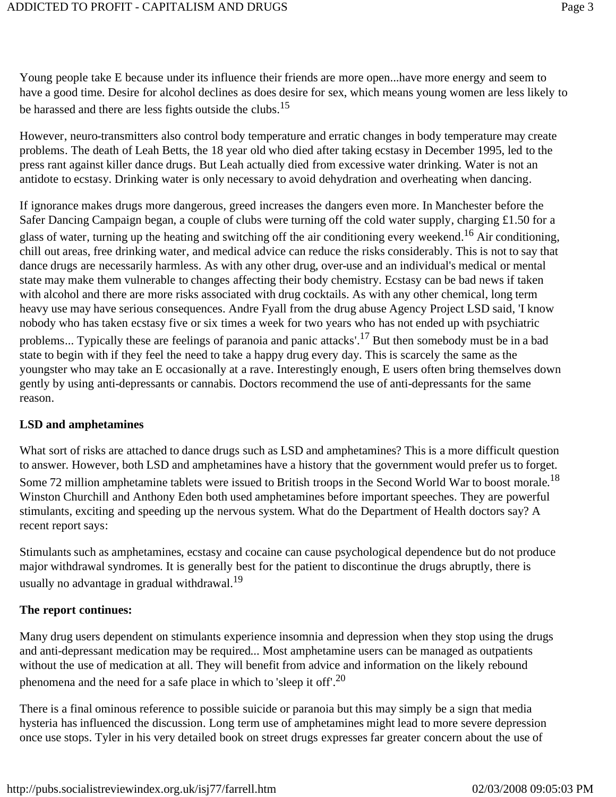Young people take E because under its influence their friends are more open...have more energy and seem to have a good time. Desire for alcohol declines as does desire for sex, which means young women are less likely to be harassed and there are less fights outside the clubs.<sup>15</sup>

However, neuro-transmitters also control body temperature and erratic changes in body temperature may create problems. The death of Leah Betts, the 18 year old who died after taking ecstasy in December 1995, led to the press rant against killer dance drugs. But Leah actually died from excessive water drinking. Water is not an antidote to ecstasy. Drinking water is only necessary to avoid dehydration and overheating when dancing.

If ignorance makes drugs more dangerous, greed increases the dangers even more. In Manchester before the Safer Dancing Campaign began, a couple of clubs were turning off the cold water supply, charging £1.50 for a glass of water, turning up the heating and switching off the air conditioning every weekend.<sup>16</sup> Air conditioning, chill out areas, free drinking water, and medical advice can reduce the risks considerably. This is not to say that dance drugs are necessarily harmless. As with any other drug, over-use and an individual's medical or mental state may make them vulnerable to changes affecting their body chemistry. Ecstasy can be bad news if taken with alcohol and there are more risks associated with drug cocktails. As with any other chemical, long term heavy use may have serious consequences. Andre Fyall from the drug abuse Agency Project LSD said, 'I know nobody who has taken ecstasy five or six times a week for two years who has not ended up with psychiatric problems... Typically these are feelings of paranoia and panic attacks'.17 But then somebody must be in a bad state to begin with if they feel the need to take a happy drug every day. This is scarcely the same as the youngster who may take an E occasionally at a rave. Interestingly enough, E users often bring themselves down gently by using anti-depressants or cannabis. Doctors recommend the use of anti-depressants for the same reason.

#### **LSD and amphetamines**

What sort of risks are attached to dance drugs such as LSD and amphetamines? This is a more difficult question to answer. However, both LSD and amphetamines have a history that the government would prefer us to forget. Some 72 million amphetamine tablets were issued to British troops in the Second World War to boost morale.<sup>18</sup> Winston Churchill and Anthony Eden both used amphetamines before important speeches. They are powerful stimulants, exciting and speeding up the nervous system. What do the Department of Health doctors say? A recent report says:

Stimulants such as amphetamines, ecstasy and cocaine can cause psychological dependence but do not produce major withdrawal syndromes. It is generally best for the patient to discontinue the drugs abruptly, there is usually no advantage in gradual withdrawal.<sup>19</sup>

#### **The report continues:**

Many drug users dependent on stimulants experience insomnia and depression when they stop using the drugs and anti-depressant medication may be required... Most amphetamine users can be managed as outpatients without the use of medication at all. They will benefit from advice and information on the likely rebound phenomena and the need for a safe place in which to 'sleep it off'.<sup>20</sup>

There is a final ominous reference to possible suicide or paranoia but this may simply be a sign that media hysteria has influenced the discussion. Long term use of amphetamines might lead to more severe depression once use stops. Tyler in his very detailed book on street drugs expresses far greater concern about the use of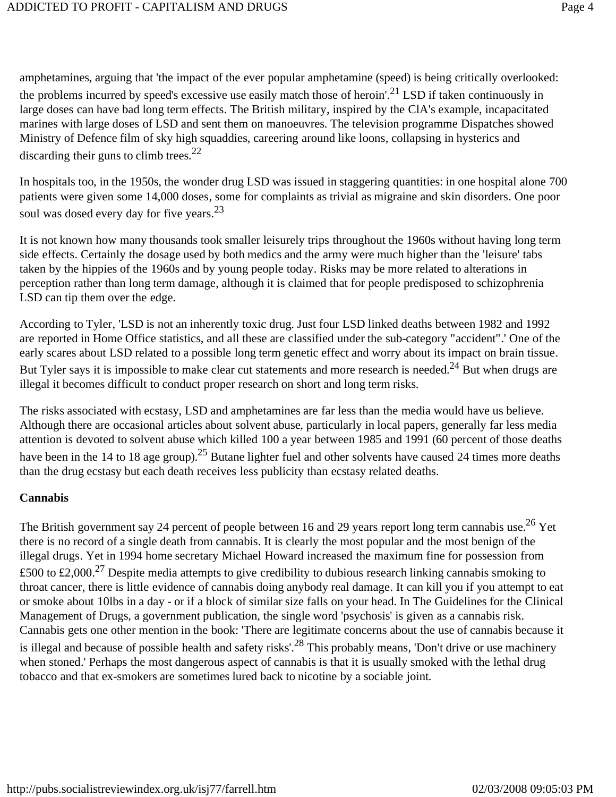amphetamines, arguing that 'the impact of the ever popular amphetamine (speed) is being critically overlooked: the problems incurred by speed's excessive use easily match those of heroin'.21 LSD if taken continuously in large doses can have bad long term effects. The British military, inspired by the ClA's example, incapacitated marines with large doses of LSD and sent them on manoeuvres. The television programme Dispatches showed Ministry of Defence film of sky high squaddies, careering around like loons, collapsing in hysterics and discarding their guns to climb trees.<sup>22</sup>

In hospitals too, in the 1950s, the wonder drug LSD was issued in staggering quantities: in one hospital alone 700 patients were given some 14,000 doses, some for complaints as trivial as migraine and skin disorders. One poor soul was dosed every day for five years.<sup>23</sup>

It is not known how many thousands took smaller leisurely trips throughout the 1960s without having long term side effects. Certainly the dosage used by both medics and the army were much higher than the 'leisure' tabs taken by the hippies of the 1960s and by young people today. Risks may be more related to alterations in perception rather than long term damage, although it is claimed that for people predisposed to schizophrenia LSD can tip them over the edge.

According to Tyler, 'LSD is not an inherently toxic drug. Just four LSD linked deaths between 1982 and 1992 are reported in Home Office statistics, and all these are classified under the sub-category "accident".' One of the early scares about LSD related to a possible long term genetic effect and worry about its impact on brain tissue. But Tyler says it is impossible to make clear cut statements and more research is needed.<sup>24</sup> But when drugs are illegal it becomes difficult to conduct proper research on short and long term risks.

The risks associated with ecstasy, LSD and amphetamines are far less than the media would have us believe. Although there are occasional articles about solvent abuse, particularly in local papers, generally far less media attention is devoted to solvent abuse which killed 100 a year between 1985 and 1991 (60 percent of those deaths have been in the 14 to 18 age group).<sup>25</sup> Butane lighter fuel and other solvents have caused 24 times more deaths than the drug ecstasy but each death receives less publicity than ecstasy related deaths.

#### **Cannabis**

The British government say 24 percent of people between 16 and 29 years report long term cannabis use.<sup>26</sup> Yet there is no record of a single death from cannabis. It is clearly the most popular and the most benign of the illegal drugs. Yet in 1994 home secretary Michael Howard increased the maximum fine for possession from £500 to £2,000.<sup>27</sup> Despite media attempts to give credibility to dubious research linking cannabis smoking to throat cancer, there is little evidence of cannabis doing anybody real damage. It can kill you if you attempt to eat or smoke about 10lbs in a day - or if a block of similar size falls on your head. In The Guidelines for the Clinical Management of Drugs, a government publication, the single word 'psychosis' is given as a cannabis risk. Cannabis gets one other mention in the book: 'There are legitimate concerns about the use of cannabis because it is illegal and because of possible health and safety risks'.<sup>28</sup> This probably means, 'Don't drive or use machinery when stoned.' Perhaps the most dangerous aspect of cannabis is that it is usually smoked with the lethal drug tobacco and that ex-smokers are sometimes lured back to nicotine by a sociable joint.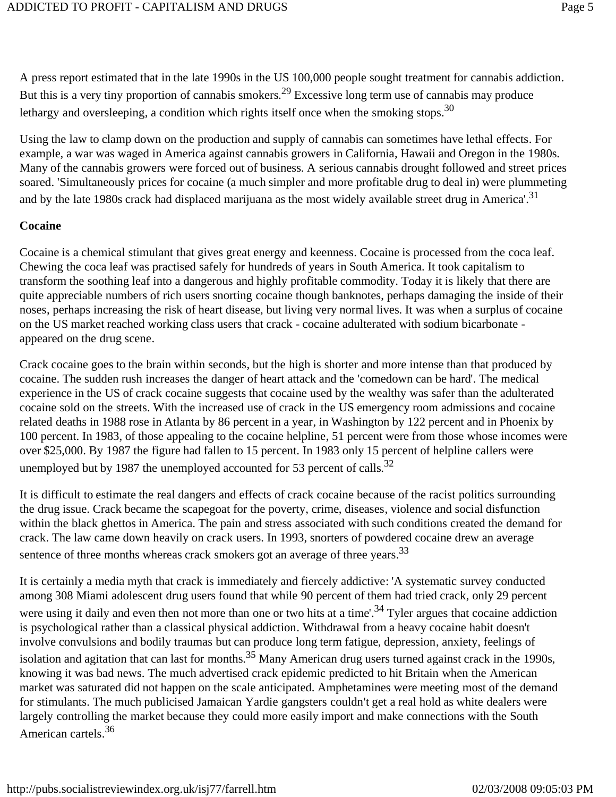A press report estimated that in the late 1990s in the US 100,000 people sought treatment for cannabis addiction. But this is a very tiny proportion of cannabis smokers.<sup>29</sup> Excessive long term use of cannabis may produce lethargy and oversleeping, a condition which rights itself once when the smoking stops.<sup>30</sup>

Using the law to clamp down on the production and supply of cannabis can sometimes have lethal effects. For example, a war was waged in America against cannabis growers in California, Hawaii and Oregon in the 1980s. Many of the cannabis growers were forced out of business. A serious cannabis drought followed and street prices soared. 'Simultaneously prices for cocaine (a much simpler and more profitable drug to deal in) were plummeting and by the late 1980s crack had displaced marijuana as the most widely available street drug in America'.<sup>31</sup>

#### **Cocaine**

Cocaine is a chemical stimulant that gives great energy and keenness. Cocaine is processed from the coca leaf. Chewing the coca leaf was practised safely for hundreds of years in South America. It took capitalism to transform the soothing leaf into a dangerous and highly profitable commodity. Today it is likely that there are quite appreciable numbers of rich users snorting cocaine though banknotes, perhaps damaging the inside of their noses, perhaps increasing the risk of heart disease, but living very normal lives. It was when a surplus of cocaine on the US market reached working class users that crack - cocaine adulterated with sodium bicarbonate appeared on the drug scene.

Crack cocaine goes to the brain within seconds, but the high is shorter and more intense than that produced by cocaine. The sudden rush increases the danger of heart attack and the 'comedown can be hard'. The medical experience in the US of crack cocaine suggests that cocaine used by the wealthy was safer than the adulterated cocaine sold on the streets. With the increased use of crack in the US emergency room admissions and cocaine related deaths in 1988 rose in Atlanta by 86 percent in a year, in Washington by 122 percent and in Phoenix by 100 percent. In 1983, of those appealing to the cocaine helpline, 51 percent were from those whose incomes were over \$25,000. By 1987 the figure had fallen to 15 percent. In 1983 only 15 percent of helpline callers were unemployed but by 1987 the unemployed accounted for 53 percent of calls.<sup>32</sup>

It is difficult to estimate the real dangers and effects of crack cocaine because of the racist politics surrounding the drug issue. Crack became the scapegoat for the poverty, crime, diseases, violence and social disfunction within the black ghettos in America. The pain and stress associated with such conditions created the demand for crack. The law came down heavily on crack users. In 1993, snorters of powdered cocaine drew an average sentence of three months whereas crack smokers got an average of three years.<sup>33</sup>

It is certainly a media myth that crack is immediately and fiercely addictive: 'A systematic survey conducted among 308 Miami adolescent drug users found that while 90 percent of them had tried crack, only 29 percent were using it daily and even then not more than one or two hits at a time'.<sup>34</sup> Tyler argues that cocaine addiction is psychological rather than a classical physical addiction. Withdrawal from a heavy cocaine habit doesn't involve convulsions and bodily traumas but can produce long term fatigue, depression, anxiety, feelings of isolation and agitation that can last for months.<sup>35</sup> Many American drug users turned against crack in the 1990s, knowing it was bad news. The much advertised crack epidemic predicted to hit Britain when the American market was saturated did not happen on the scale anticipated. Amphetamines were meeting most of the demand for stimulants. The much publicised Jamaican Yardie gangsters couldn't get a real hold as white dealers were largely controlling the market because they could more easily import and make connections with the South American cartels.36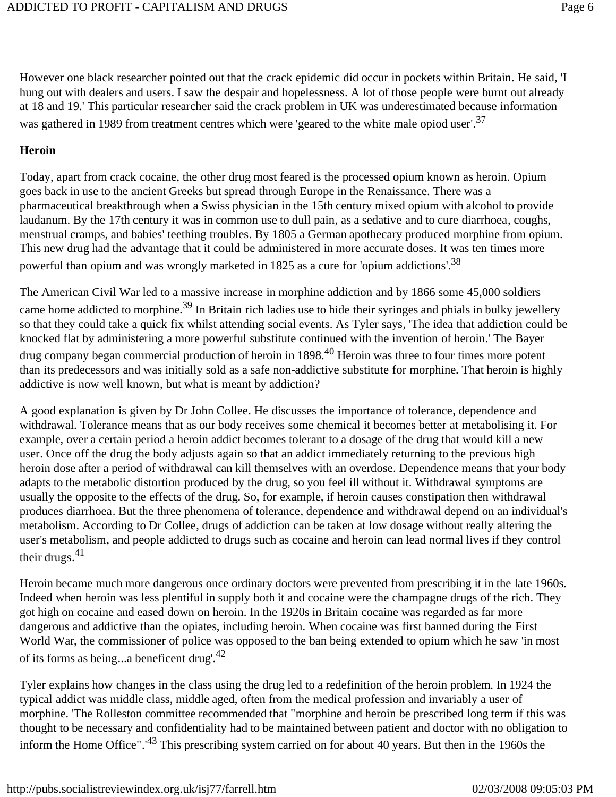However one black researcher pointed out that the crack epidemic did occur in pockets within Britain. He said, 'I hung out with dealers and users. I saw the despair and hopelessness. A lot of those people were burnt out already at 18 and 19.' This particular researcher said the crack problem in UK was underestimated because information was gathered in 1989 from treatment centres which were 'geared to the white male opiod user'.<sup>37</sup>

#### **Heroin**

Today, apart from crack cocaine, the other drug most feared is the processed opium known as heroin. Opium goes back in use to the ancient Greeks but spread through Europe in the Renaissance. There was a pharmaceutical breakthrough when a Swiss physician in the 15th century mixed opium with alcohol to provide laudanum. By the 17th century it was in common use to dull pain, as a sedative and to cure diarrhoea, coughs, menstrual cramps, and babies' teething troubles. By 1805 a German apothecary produced morphine from opium. This new drug had the advantage that it could be administered in more accurate doses. It was ten times more powerful than opium and was wrongly marketed in 1825 as a cure for 'opium addictions'.<sup>38</sup>

The American Civil War led to a massive increase in morphine addiction and by 1866 some 45,000 soldiers came home addicted to morphine.<sup>39</sup> In Britain rich ladies use to hide their syringes and phials in bulky jewellery so that they could take a quick fix whilst attending social events. As Tyler says, 'The idea that addiction could be knocked flat by administering a more powerful substitute continued with the invention of heroin.' The Bayer drug company began commercial production of heroin in 1898.<sup>40</sup> Heroin was three to four times more potent than its predecessors and was initially sold as a safe non-addictive substitute for morphine. That heroin is highly addictive is now well known, but what is meant by addiction?

A good explanation is given by Dr John Collee. He discusses the importance of tolerance, dependence and withdrawal. Tolerance means that as our body receives some chemical it becomes better at metabolising it. For example, over a certain period a heroin addict becomes tolerant to a dosage of the drug that would kill a new user. Once off the drug the body adjusts again so that an addict immediately returning to the previous high heroin dose after a period of withdrawal can kill themselves with an overdose. Dependence means that your body adapts to the metabolic distortion produced by the drug, so you feel ill without it. Withdrawal symptoms are usually the opposite to the effects of the drug. So, for example, if heroin causes constipation then withdrawal produces diarrhoea. But the three phenomena of tolerance, dependence and withdrawal depend on an individual's metabolism. According to Dr Collee, drugs of addiction can be taken at low dosage without really altering the user's metabolism, and people addicted to drugs such as cocaine and heroin can lead normal lives if they control their drugs. $41$ 

Heroin became much more dangerous once ordinary doctors were prevented from prescribing it in the late 1960s. Indeed when heroin was less plentiful in supply both it and cocaine were the champagne drugs of the rich. They got high on cocaine and eased down on heroin. In the 1920s in Britain cocaine was regarded as far more dangerous and addictive than the opiates, including heroin. When cocaine was first banned during the First World War, the commissioner of police was opposed to the ban being extended to opium which he saw 'in most of its forms as being...a beneficent drug'.<sup>42</sup>

Tyler explains how changes in the class using the drug led to a redefinition of the heroin problem. In 1924 the typical addict was middle class, middle aged, often from the medical profession and invariably a user of morphine. 'The Rolleston committee recommended that "morphine and heroin be prescribed long term if this was thought to be necessary and confidentiality had to be maintained between patient and doctor with no obligation to inform the Home Office".'<sup>43</sup> This prescribing system carried on for about 40 years. But then in the 1960s the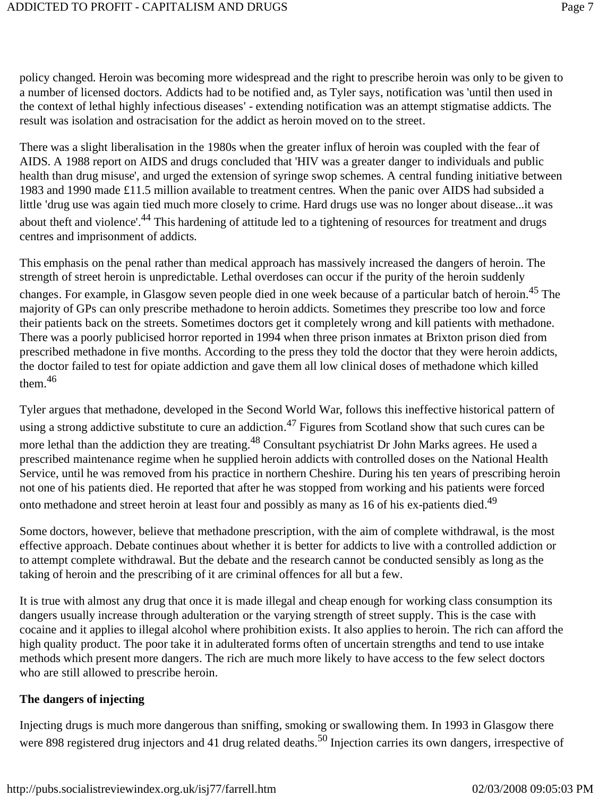policy changed. Heroin was becoming more widespread and the right to prescribe heroin was only to be given to a number of licensed doctors. Addicts had to be notified and, as Tyler says, notification was 'until then used in the context of lethal highly infectious diseases' - extending notification was an attempt stigmatise addicts. The result was isolation and ostracisation for the addict as heroin moved on to the street.

There was a slight liberalisation in the 1980s when the greater influx of heroin was coupled with the fear of AIDS. A 1988 report on AIDS and drugs concluded that 'HIV was a greater danger to individuals and public health than drug misuse', and urged the extension of syringe swop schemes. A central funding initiative between 1983 and 1990 made £11.5 million available to treatment centres. When the panic over AIDS had subsided a little 'drug use was again tied much more closely to crime. Hard drugs use was no longer about disease...it was about theft and violence'.<sup>44</sup> This hardening of attitude led to a tightening of resources for treatment and drugs centres and imprisonment of addicts.

This emphasis on the penal rather than medical approach has massively increased the dangers of heroin. The strength of street heroin is unpredictable. Lethal overdoses can occur if the purity of the heroin suddenly changes. For example, in Glasgow seven people died in one week because of a particular batch of heroin.45 The majority of GPs can only prescribe methadone to heroin addicts. Sometimes they prescribe too low and force their patients back on the streets. Sometimes doctors get it completely wrong and kill patients with methadone. There was a poorly publicised horror reported in 1994 when three prison inmates at Brixton prison died from prescribed methadone in five months. According to the press they told the doctor that they were heroin addicts, the doctor failed to test for opiate addiction and gave them all low clinical doses of methadone which killed them $146$ 

Tyler argues that methadone, developed in the Second World War, follows this ineffective historical pattern of using a strong addictive substitute to cure an addiction.<sup>47</sup> Figures from Scotland show that such cures can be more lethal than the addiction they are treating.<sup>48</sup> Consultant psychiatrist Dr John Marks agrees. He used a prescribed maintenance regime when he supplied heroin addicts with controlled doses on the National Health Service, until he was removed from his practice in northern Cheshire. During his ten years of prescribing heroin not one of his patients died. He reported that after he was stopped from working and his patients were forced onto methadone and street heroin at least four and possibly as many as 16 of his ex-patients died.<sup>49</sup>

Some doctors, however, believe that methadone prescription, with the aim of complete withdrawal, is the most effective approach. Debate continues about whether it is better for addicts to live with a controlled addiction or to attempt complete withdrawal. But the debate and the research cannot be conducted sensibly as long as the taking of heroin and the prescribing of it are criminal offences for all but a few.

It is true with almost any drug that once it is made illegal and cheap enough for working class consumption its dangers usually increase through adulteration or the varying strength of street supply. This is the case with cocaine and it applies to illegal alcohol where prohibition exists. It also applies to heroin. The rich can afford the high quality product. The poor take it in adulterated forms often of uncertain strengths and tend to use intake methods which present more dangers. The rich are much more likely to have access to the few select doctors who are still allowed to prescribe heroin.

#### **The dangers of injecting**

Injecting drugs is much more dangerous than sniffing, smoking or swallowing them. In 1993 in Glasgow there were 898 registered drug injectors and 41 drug related deaths.<sup>50</sup> Injection carries its own dangers, irrespective of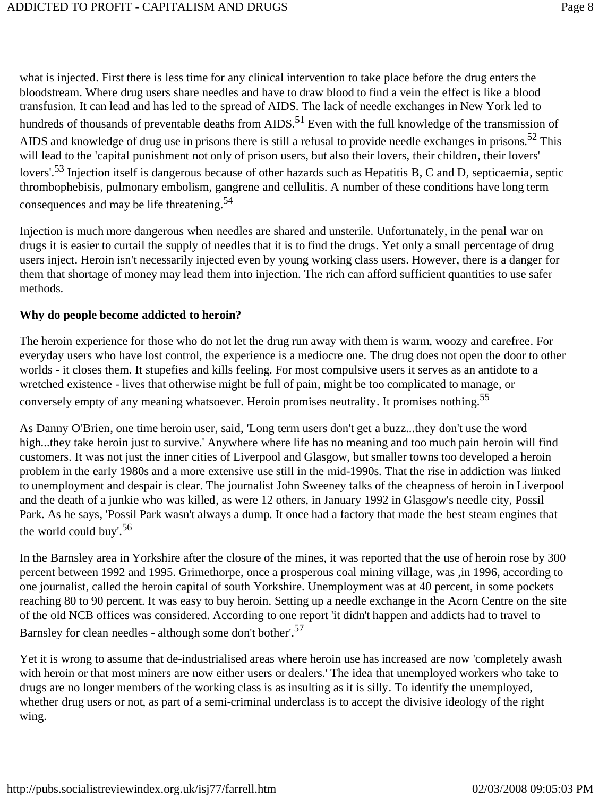what is injected. First there is less time for any clinical intervention to take place before the drug enters the bloodstream. Where drug users share needles and have to draw blood to find a vein the effect is like a blood transfusion. It can lead and has led to the spread of AIDS. The lack of needle exchanges in New York led to hundreds of thousands of preventable deaths from AIDS.<sup>51</sup> Even with the full knowledge of the transmission of AIDS and knowledge of drug use in prisons there is still a refusal to provide needle exchanges in prisons.<sup>52</sup> This will lead to the 'capital punishment not only of prison users, but also their lovers, their children, their lovers' lovers'.<sup>53</sup> Injection itself is dangerous because of other hazards such as Hepatitis B, C and D, septicaemia, septic thrombophebisis, pulmonary embolism, gangrene and cellulitis. A number of these conditions have long term consequences and may be life threatening.<sup>54</sup>

Injection is much more dangerous when needles are shared and unsterile. Unfortunately, in the penal war on drugs it is easier to curtail the supply of needles that it is to find the drugs. Yet only a small percentage of drug users inject. Heroin isn't necessarily injected even by young working class users. However, there is a danger for them that shortage of money may lead them into injection. The rich can afford sufficient quantities to use safer methods.

#### **Why do people become addicted to heroin?**

The heroin experience for those who do not let the drug run away with them is warm, woozy and carefree. For everyday users who have lost control, the experience is a mediocre one. The drug does not open the door to other worlds - it closes them. It stupefies and kills feeling. For most compulsive users it serves as an antidote to a wretched existence - lives that otherwise might be full of pain, might be too complicated to manage, or conversely empty of any meaning whatsoever. Heroin promises neutrality. It promises nothing.<sup>55</sup>

As Danny O'Brien, one time heroin user, said, 'Long term users don't get a buzz...they don't use the word high...they take heroin just to survive.' Anywhere where life has no meaning and too much pain heroin will find customers. It was not just the inner cities of Liverpool and Glasgow, but smaller towns too developed a heroin problem in the early 1980s and a more extensive use still in the mid-1990s. That the rise in addiction was linked to unemployment and despair is clear. The journalist John Sweeney talks of the cheapness of heroin in Liverpool and the death of a junkie who was killed, as were 12 others, in January 1992 in Glasgow's needle city, Possil Park. As he says, 'Possil Park wasn't always a dump. It once had a factory that made the best steam engines that the world could buy'.<sup>56</sup>

In the Barnsley area in Yorkshire after the closure of the mines, it was reported that the use of heroin rose by 300 percent between 1992 and 1995. Grimethorpe, once a prosperous coal mining village, was ,in 1996, according to one journalist, called the heroin capital of south Yorkshire. Unemployment was at 40 percent, in some pockets reaching 80 to 90 percent. It was easy to buy heroin. Setting up a needle exchange in the Acorn Centre on the site of the old NCB offices was considered. According to one report 'it didn't happen and addicts had to travel to Barnsley for clean needles - although some don't bother'.57

Yet it is wrong to assume that de-industrialised areas where heroin use has increased are now 'completely awash with heroin or that most miners are now either users or dealers.' The idea that unemployed workers who take to drugs are no longer members of the working class is as insulting as it is silly. To identify the unemployed, whether drug users or not, as part of a semi-criminal underclass is to accept the divisive ideology of the right wing.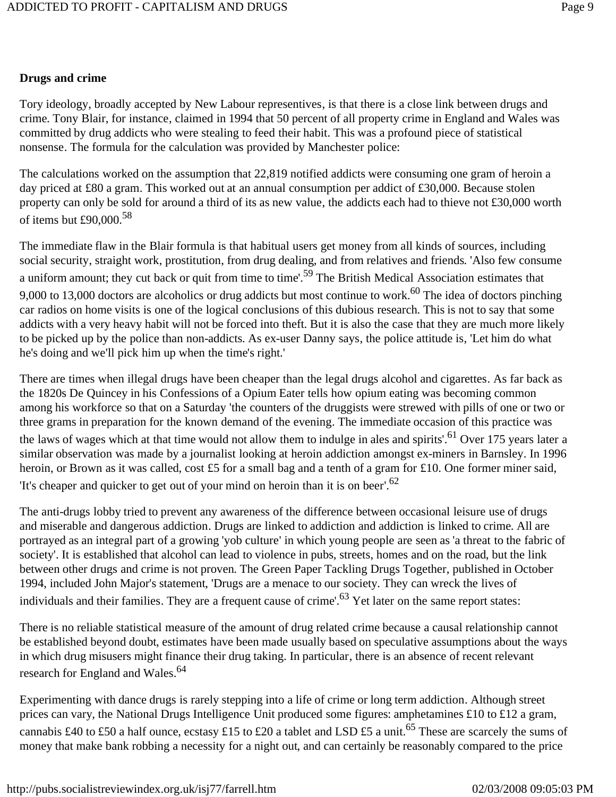### **Drugs and crime**

Tory ideology, broadly accepted by New Labour representives, is that there is a close link between drugs and crime. Tony Blair, for instance, claimed in 1994 that 50 percent of all property crime in England and Wales was committed by drug addicts who were stealing to feed their habit. This was a profound piece of statistical nonsense. The formula for the calculation was provided by Manchester police:

The calculations worked on the assumption that 22,819 notified addicts were consuming one gram of heroin a day priced at £80 a gram. This worked out at an annual consumption per addict of £30,000. Because stolen property can only be sold for around a third of its as new value, the addicts each had to thieve not £30,000 worth of items but  $£90,000.58$ 

The immediate flaw in the Blair formula is that habitual users get money from all kinds of sources, including social security, straight work, prostitution, from drug dealing, and from relatives and friends. 'Also few consume a uniform amount; they cut back or quit from time to time'.<sup>59</sup> The British Medical Association estimates that 9,000 to 13,000 doctors are alcoholics or drug addicts but most continue to work.<sup>60</sup> The idea of doctors pinching car radios on home visits is one of the logical conclusions of this dubious research. This is not to say that some addicts with a very heavy habit will not be forced into theft. But it is also the case that they are much more likely to be picked up by the police than non-addicts. As ex-user Danny says, the police attitude is, 'Let him do what he's doing and we'll pick him up when the time's right.'

There are times when illegal drugs have been cheaper than the legal drugs alcohol and cigarettes. As far back as the 1820s De Quincey in his Confessions of a Opium Eater tells how opium eating was becoming common among his workforce so that on a Saturday 'the counters of the druggists were strewed with pills of one or two or three grams in preparation for the known demand of the evening. The immediate occasion of this practice was the laws of wages which at that time would not allow them to indulge in ales and spirits'.<sup>61</sup> Over 175 years later a similar observation was made by a journalist looking at heroin addiction amongst ex-miners in Barnsley. In 1996 heroin, or Brown as it was called, cost £5 for a small bag and a tenth of a gram for £10. One former miner said, 'It's cheaper and quicker to get out of your mind on heroin than it is on beer'.62

The anti-drugs lobby tried to prevent any awareness of the difference between occasional leisure use of drugs and miserable and dangerous addiction. Drugs are linked to addiction and addiction is linked to crime. All are portrayed as an integral part of a growing 'yob culture' in which young people are seen as 'a threat to the fabric of society'. It is established that alcohol can lead to violence in pubs, streets, homes and on the road, but the link between other drugs and crime is not proven. The Green Paper Tackling Drugs Together, published in October 1994, included John Major's statement, 'Drugs are a menace to our society. They can wreck the lives of individuals and their families. They are a frequent cause of crime'.<sup>63</sup> Yet later on the same report states:

There is no reliable statistical measure of the amount of drug related crime because a causal relationship cannot be established beyond doubt, estimates have been made usually based on speculative assumptions about the ways in which drug misusers might finance their drug taking. In particular, there is an absence of recent relevant research for England and Wales.<sup>64</sup>

Experimenting with dance drugs is rarely stepping into a life of crime or long term addiction. Although street prices can vary, the National Drugs Intelligence Unit produced some figures: amphetamines £10 to £12 a gram, cannabis £40 to £50 a half ounce, ecstasy £15 to £20 a tablet and LSD £5 a unit.<sup>65</sup> These are scarcely the sums of money that make bank robbing a necessity for a night out, and can certainly be reasonably compared to the price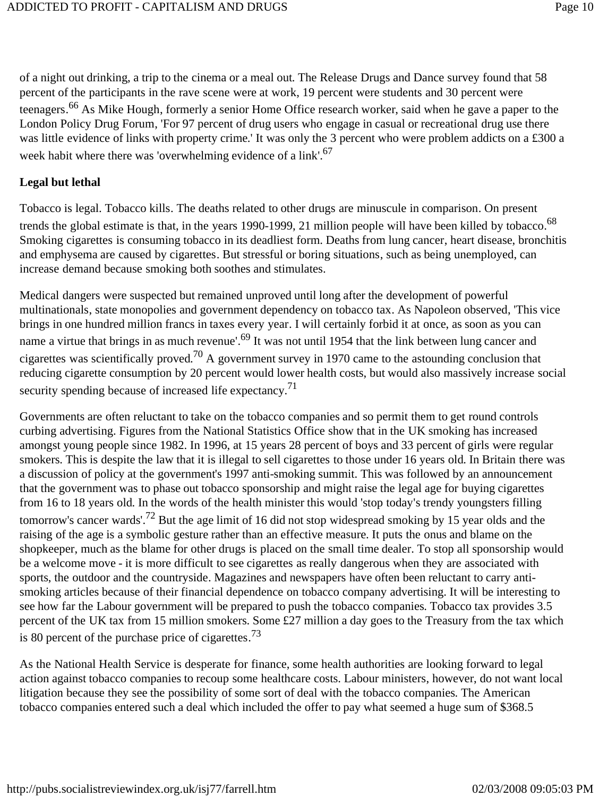of a night out drinking, a trip to the cinema or a meal out. The Release Drugs and Dance survey found that 58 percent of the participants in the rave scene were at work, 19 percent were students and 30 percent were teenagers.<sup>66</sup> As Mike Hough, formerly a senior Home Office research worker, said when he gave a paper to the London Policy Drug Forum, 'For 97 percent of drug users who engage in casual or recreational drug use there was little evidence of links with property crime.' It was only the 3 percent who were problem addicts on a £300 a week habit where there was 'overwhelming evidence of a link'.<sup>67</sup>

#### **Legal but lethal**

Tobacco is legal. Tobacco kills. The deaths related to other drugs are minuscule in comparison. On present trends the global estimate is that, in the years 1990-1999, 21 million people will have been killed by tobacco.<sup>68</sup> Smoking cigarettes is consuming tobacco in its deadliest form. Deaths from lung cancer, heart disease, bronchitis and emphysema are caused by cigarettes. But stressful or boring situations, such as being unemployed, can increase demand because smoking both soothes and stimulates.

Medical dangers were suspected but remained unproved until long after the development of powerful multinationals, state monopolies and government dependency on tobacco tax. As Napoleon observed, 'This vice brings in one hundred million francs in taxes every year. I will certainly forbid it at once, as soon as you can name a virtue that brings in as much revenue'.<sup>69</sup> It was not until 1954 that the link between lung cancer and cigarettes was scientifically proved.<sup>70</sup> A government survey in 1970 came to the astounding conclusion that reducing cigarette consumption by 20 percent would lower health costs, but would also massively increase social security spending because of increased life expectancy.<sup>71</sup>

Governments are often reluctant to take on the tobacco companies and so permit them to get round controls curbing advertising. Figures from the National Statistics Office show that in the UK smoking has increased amongst young people since 1982. In 1996, at 15 years 28 percent of boys and 33 percent of girls were regular smokers. This is despite the law that it is illegal to sell cigarettes to those under 16 years old. In Britain there was a discussion of policy at the government's 1997 anti-smoking summit. This was followed by an announcement that the government was to phase out tobacco sponsorship and might raise the legal age for buying cigarettes from 16 to 18 years old. In the words of the health minister this would 'stop today's trendy youngsters filling tomorrow's cancer wards'.72 But the age limit of 16 did not stop widespread smoking by 15 year olds and the raising of the age is a symbolic gesture rather than an effective measure. It puts the onus and blame on the shopkeeper, much as the blame for other drugs is placed on the small time dealer. To stop all sponsorship would be a welcome move - it is more difficult to see cigarettes as really dangerous when they are associated with sports, the outdoor and the countryside. Magazines and newspapers have often been reluctant to carry antismoking articles because of their financial dependence on tobacco company advertising. It will be interesting to see how far the Labour government will be prepared to push the tobacco companies. Tobacco tax provides 3.5 percent of the UK tax from 15 million smokers. Some £27 million a day goes to the Treasury from the tax which is 80 percent of the purchase price of cigarettes.<sup>73</sup>

As the National Health Service is desperate for finance, some health authorities are looking forward to legal action against tobacco companies to recoup some healthcare costs. Labour ministers, however, do not want local litigation because they see the possibility of some sort of deal with the tobacco companies. The American tobacco companies entered such a deal which included the offer to pay what seemed a huge sum of \$368.5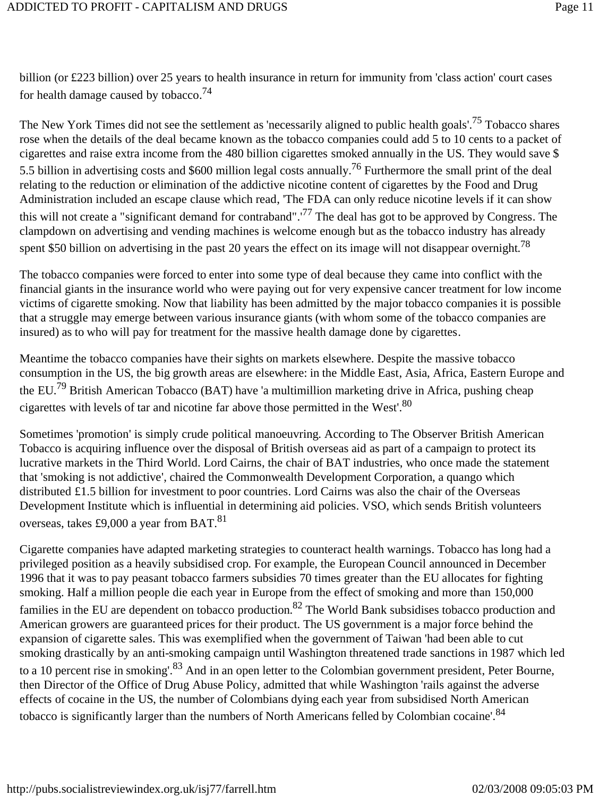billion (or £223 billion) over 25 years to health insurance in return for immunity from 'class action' court cases for health damage caused by tobacco.74

The New York Times did not see the settlement as 'necessarily aligned to public health goals'.<sup>75</sup> Tobacco shares rose when the details of the deal became known as the tobacco companies could add 5 to 10 cents to a packet of cigarettes and raise extra income from the 480 billion cigarettes smoked annually in the US. They would save \$ 5.5 billion in advertising costs and \$600 million legal costs annually.<sup>76</sup> Furthermore the small print of the deal relating to the reduction or elimination of the addictive nicotine content of cigarettes by the Food and Drug Administration included an escape clause which read, 'The FDA can only reduce nicotine levels if it can show this will not create a "significant demand for contraband".'<sup>77</sup> The deal has got to be approved by Congress. The clampdown on advertising and vending machines is welcome enough but as the tobacco industry has already spent \$50 billion on advertising in the past 20 years the effect on its image will not disappear overnight.<sup>78</sup>

The tobacco companies were forced to enter into some type of deal because they came into conflict with the financial giants in the insurance world who were paying out for very expensive cancer treatment for low income victims of cigarette smoking. Now that liability has been admitted by the major tobacco companies it is possible that a struggle may emerge between various insurance giants (with whom some of the tobacco companies are insured) as to who will pay for treatment for the massive health damage done by cigarettes.

Meantime the tobacco companies have their sights on markets elsewhere. Despite the massive tobacco consumption in the US, the big growth areas are elsewhere: in the Middle East, Asia, Africa, Eastern Europe and the EU.79 British American Tobacco (BAT) have 'a multimillion marketing drive in Africa, pushing cheap cigarettes with levels of tar and nicotine far above those permitted in the West'.80

Sometimes 'promotion' is simply crude political manoeuvring. According to The Observer British American Tobacco is acquiring influence over the disposal of British overseas aid as part of a campaign to protect its lucrative markets in the Third World. Lord Cairns, the chair of BAT industries, who once made the statement that 'smoking is not addictive', chaired the Commonwealth Development Corporation, a quango which distributed £1.5 billion for investment to poor countries. Lord Cairns was also the chair of the Overseas Development Institute which is influential in determining aid policies. VSO, which sends British volunteers overseas, takes £9,000 a year from BAT.<sup>81</sup>

Cigarette companies have adapted marketing strategies to counteract health warnings. Tobacco has long had a privileged position as a heavily subsidised crop. For example, the European Council announced in December 1996 that it was to pay peasant tobacco farmers subsidies 70 times greater than the EU allocates for fighting smoking. Half a million people die each year in Europe from the effect of smoking and more than 150,000 families in the EU are dependent on tobacco production.<sup>82</sup> The World Bank subsidises tobacco production and American growers are guaranteed prices for their product. The US government is a major force behind the expansion of cigarette sales. This was exemplified when the government of Taiwan 'had been able to cut smoking drastically by an anti-smoking campaign until Washington threatened trade sanctions in 1987 which led to a 10 percent rise in smoking'.<sup>83</sup> And in an open letter to the Colombian government president, Peter Bourne, then Director of the Office of Drug Abuse Policy, admitted that while Washington 'rails against the adverse effects of cocaine in the US, the number of Colombians dying each year from subsidised North American tobacco is significantly larger than the numbers of North Americans felled by Colombian cocaine'.<sup>84</sup>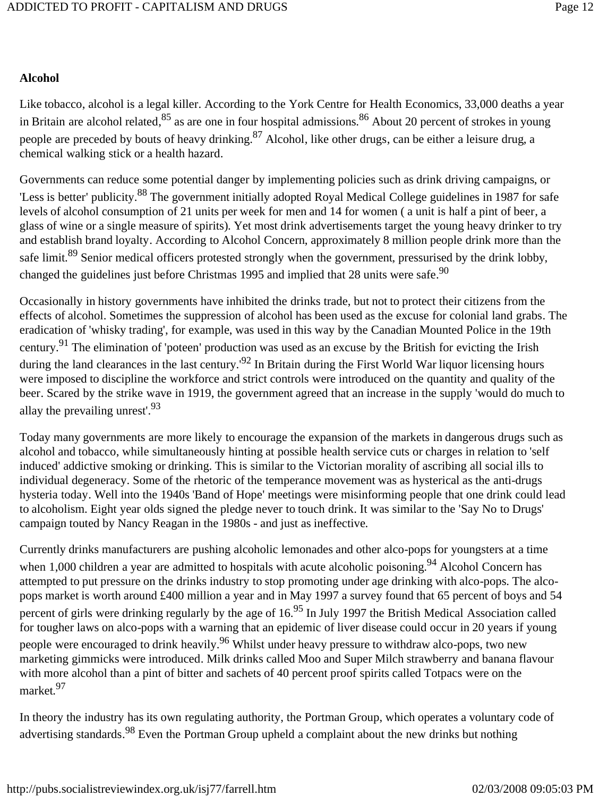### **Alcohol**

Like tobacco, alcohol is a legal killer. According to the York Centre for Health Economics, 33,000 deaths a year in Britain are alcohol related,  $85$  as are one in four hospital admissions.  $86$  About 20 percent of strokes in young people are preceded by bouts of heavy drinking.<sup>87</sup> Alcohol, like other drugs, can be either a leisure drug, a chemical walking stick or a health hazard.

Governments can reduce some potential danger by implementing policies such as drink driving campaigns, or 'Less is better' publicity.<sup>88</sup> The government initially adopted Royal Medical College guidelines in 1987 for safe levels of alcohol consumption of 21 units per week for men and 14 for women ( a unit is half a pint of beer, a glass of wine or a single measure of spirits). Yet most drink advertisements target the young heavy drinker to try and establish brand loyalty. According to Alcohol Concern, approximately 8 million people drink more than the safe limit.<sup>89</sup> Senior medical officers protested strongly when the government, pressurised by the drink lobby, changed the guidelines just before Christmas 1995 and implied that 28 units were safe.<sup>90</sup>

Occasionally in history governments have inhibited the drinks trade, but not to protect their citizens from the effects of alcohol. Sometimes the suppression of alcohol has been used as the excuse for colonial land grabs. The eradication of 'whisky trading', for example, was used in this way by the Canadian Mounted Police in the 19th century.91 The elimination of 'poteen' production was used as an excuse by the British for evicting the Irish during the land clearances in the last century.'<sup>92</sup> In Britain during the First World War liquor licensing hours were imposed to discipline the workforce and strict controls were introduced on the quantity and quality of the beer. Scared by the strike wave in 1919, the government agreed that an increase in the supply 'would do much to allay the prevailing unrest'.93

Today many governments are more likely to encourage the expansion of the markets in dangerous drugs such as alcohol and tobacco, while simultaneously hinting at possible health service cuts or charges in relation to 'self induced' addictive smoking or drinking. This is similar to the Victorian morality of ascribing all social ills to individual degeneracy. Some of the rhetoric of the temperance movement was as hysterical as the anti-drugs hysteria today. Well into the 1940s 'Band of Hope' meetings were misinforming people that one drink could lead to alcoholism. Eight year olds signed the pledge never to touch drink. It was similar to the 'Say No to Drugs' campaign touted by Nancy Reagan in the 1980s - and just as ineffective.

Currently drinks manufacturers are pushing alcoholic lemonades and other alco-pops for youngsters at a time when 1,000 children a year are admitted to hospitals with acute alcoholic poisoning.<sup>94</sup> Alcohol Concern has attempted to put pressure on the drinks industry to stop promoting under age drinking with alco-pops. The alcopops market is worth around £400 million a year and in May 1997 a survey found that 65 percent of boys and 54 percent of girls were drinking regularly by the age of  $16^{95}$  In July 1997 the British Medical Association called for tougher laws on alco-pops with a warning that an epidemic of liver disease could occur in 20 years if young people were encouraged to drink heavily.<sup>96</sup> Whilst under heavy pressure to withdraw alco-pops, two new marketing gimmicks were introduced. Milk drinks called Moo and Super Milch strawberry and banana flavour with more alcohol than a pint of bitter and sachets of 40 percent proof spirits called Totpacs were on the market.97

In theory the industry has its own regulating authority, the Portman Group, which operates a voluntary code of advertising standards.<sup>98</sup> Even the Portman Group upheld a complaint about the new drinks but nothing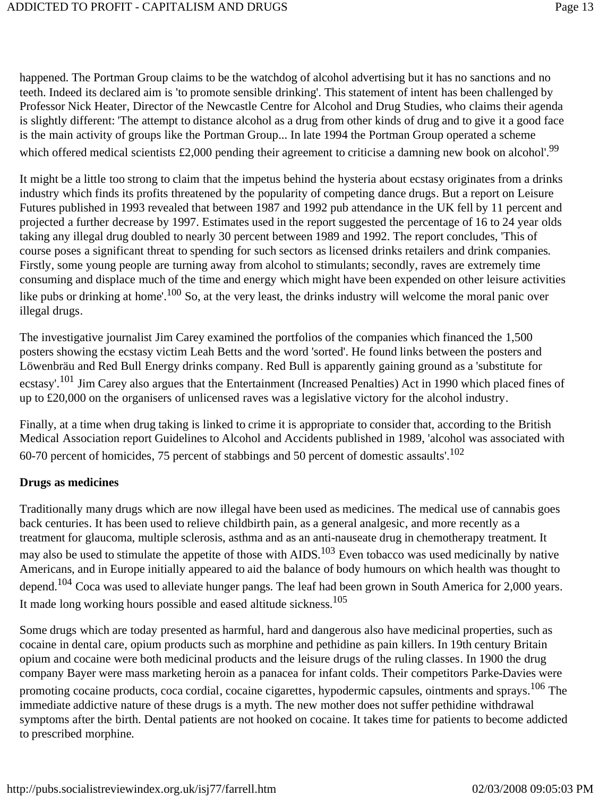happened. The Portman Group claims to be the watchdog of alcohol advertising but it has no sanctions and no teeth. Indeed its declared aim is 'to promote sensible drinking'. This statement of intent has been challenged by Professor Nick Heater, Director of the Newcastle Centre for Alcohol and Drug Studies, who claims their agenda is slightly different: 'The attempt to distance alcohol as a drug from other kinds of drug and to give it a good face is the main activity of groups like the Portman Group... In late 1994 the Portman Group operated a scheme which offered medical scientists £2,000 pending their agreement to criticise a damning new book on alcohol'.<sup>99</sup>

It might be a little too strong to claim that the impetus behind the hysteria about ecstasy originates from a drinks industry which finds its profits threatened by the popularity of competing dance drugs. But a report on Leisure Futures published in 1993 revealed that between 1987 and 1992 pub attendance in the UK fell by 11 percent and projected a further decrease by 1997. Estimates used in the report suggested the percentage of 16 to 24 year olds taking any illegal drug doubled to nearly 30 percent between 1989 and 1992. The report concludes, 'This of course poses a significant threat to spending for such sectors as licensed drinks retailers and drink companies. Firstly, some young people are turning away from alcohol to stimulants; secondly, raves are extremely time consuming and displace much of the time and energy which might have been expended on other leisure activities like pubs or drinking at home'.<sup>100</sup> So, at the very least, the drinks industry will welcome the moral panic over illegal drugs.

The investigative journalist Jim Carey examined the portfolios of the companies which financed the 1,500 posters showing the ecstasy victim Leah Betts and the word 'sorted'. He found links between the posters and Löwenbräu and Red Bull Energy drinks company. Red Bull is apparently gaining ground as a 'substitute for ecstasy'.<sup>101</sup> Jim Carey also argues that the Entertainment (Increased Penalties) Act in 1990 which placed fines of up to £20,000 on the organisers of unlicensed raves was a legislative victory for the alcohol industry.

Finally, at a time when drug taking is linked to crime it is appropriate to consider that, according to the British Medical Association report Guidelines to Alcohol and Accidents published in 1989, 'alcohol was associated with 60-70 percent of homicides, 75 percent of stabbings and 50 percent of domestic assaults'.102

#### **Drugs as medicines**

Traditionally many drugs which are now illegal have been used as medicines. The medical use of cannabis goes back centuries. It has been used to relieve childbirth pain, as a general analgesic, and more recently as a treatment for glaucoma, multiple sclerosis, asthma and as an anti-nauseate drug in chemotherapy treatment. It may also be used to stimulate the appetite of those with AIDS.<sup>103</sup> Even tobacco was used medicinally by native Americans, and in Europe initially appeared to aid the balance of body humours on which health was thought to depend.104 Coca was used to alleviate hunger pangs. The leaf had been grown in South America for 2,000 years. It made long working hours possible and eased altitude sickness.105

Some drugs which are today presented as harmful, hard and dangerous also have medicinal properties, such as cocaine in dental care, opium products such as morphine and pethidine as pain killers. In 19th century Britain opium and cocaine were both medicinal products and the leisure drugs of the ruling classes. In 1900 the drug company Bayer were mass marketing heroin as a panacea for infant colds. Their competitors Parke-Davies were promoting cocaine products, coca cordial, cocaine cigarettes, hypodermic capsules, ointments and sprays.<sup>106</sup> The immediate addictive nature of these drugs is a myth. The new mother does not suffer pethidine withdrawal symptoms after the birth. Dental patients are not hooked on cocaine. It takes time for patients to become addicted to prescribed morphine.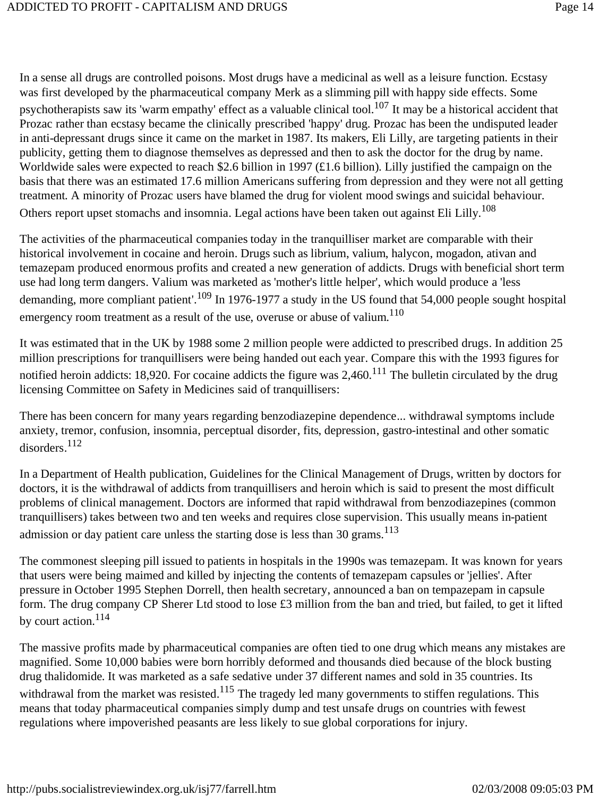In a sense all drugs are controlled poisons. Most drugs have a medicinal as well as a leisure function. Ecstasy was first developed by the pharmaceutical company Merk as a slimming pill with happy side effects. Some psychotherapists saw its 'warm empathy' effect as a valuable clinical tool.<sup>107</sup> It may be a historical accident that Prozac rather than ecstasy became the clinically prescribed 'happy' drug. Prozac has been the undisputed leader in anti-depressant drugs since it came on the market in 1987. Its makers, Eli Lilly, are targeting patients in their publicity, getting them to diagnose themselves as depressed and then to ask the doctor for the drug by name. Worldwide sales were expected to reach \$2.6 billion in 1997 (£1.6 billion). Lilly justified the campaign on the basis that there was an estimated 17.6 million Americans suffering from depression and they were not all getting treatment. A minority of Prozac users have blamed the drug for violent mood swings and suicidal behaviour. Others report upset stomachs and insomnia. Legal actions have been taken out against Eli Lilly.<sup>108</sup>

The activities of the pharmaceutical companies today in the tranquilliser market are comparable with their historical involvement in cocaine and heroin. Drugs such as librium, valium, halycon, mogadon, ativan and temazepam produced enormous profits and created a new generation of addicts. Drugs with beneficial short term use had long term dangers. Valium was marketed as 'mother's little helper', which would produce a 'less demanding, more compliant patient'.<sup>109</sup> In 1976-1977 a study in the US found that 54,000 people sought hospital emergency room treatment as a result of the use, overuse or abuse of valium.<sup>110</sup>

It was estimated that in the UK by 1988 some 2 million people were addicted to prescribed drugs. In addition 25 million prescriptions for tranquillisers were being handed out each year. Compare this with the 1993 figures for notified heroin addicts: 18,920. For cocaine addicts the figure was  $2,460$ .<sup>111</sup> The bulletin circulated by the drug licensing Committee on Safety in Medicines said of tranquillisers:

There has been concern for many years regarding benzodiazepine dependence... withdrawal symptoms include anxiety, tremor, confusion, insomnia, perceptual disorder, fits, depression, gastro-intestinal and other somatic disorders.112

In a Department of Health publication, Guidelines for the Clinical Management of Drugs, written by doctors for doctors, it is the withdrawal of addicts from tranquillisers and heroin which is said to present the most difficult problems of clinical management. Doctors are informed that rapid withdrawal from benzodiazepines (common tranquillisers) takes between two and ten weeks and requires close supervision. This usually means in-patient admission or day patient care unless the starting dose is less than 30 grams.<sup>113</sup>

The commonest sleeping pill issued to patients in hospitals in the 1990s was temazepam. It was known for years that users were being maimed and killed by injecting the contents of temazepam capsules or 'jellies'. After pressure in October 1995 Stephen Dorrell, then health secretary, announced a ban on tempazepam in capsule form. The drug company CP Sherer Ltd stood to lose £3 million from the ban and tried, but failed, to get it lifted by court action.114

The massive profits made by pharmaceutical companies are often tied to one drug which means any mistakes are magnified. Some 10,000 babies were born horribly deformed and thousands died because of the block busting drug thalidomide. It was marketed as a safe sedative under 37 different names and sold in 35 countries. Its withdrawal from the market was resisted.<sup>115</sup> The tragedy led many governments to stiffen regulations. This means that today pharmaceutical companies simply dump and test unsafe drugs on countries with fewest regulations where impoverished peasants are less likely to sue global corporations for injury.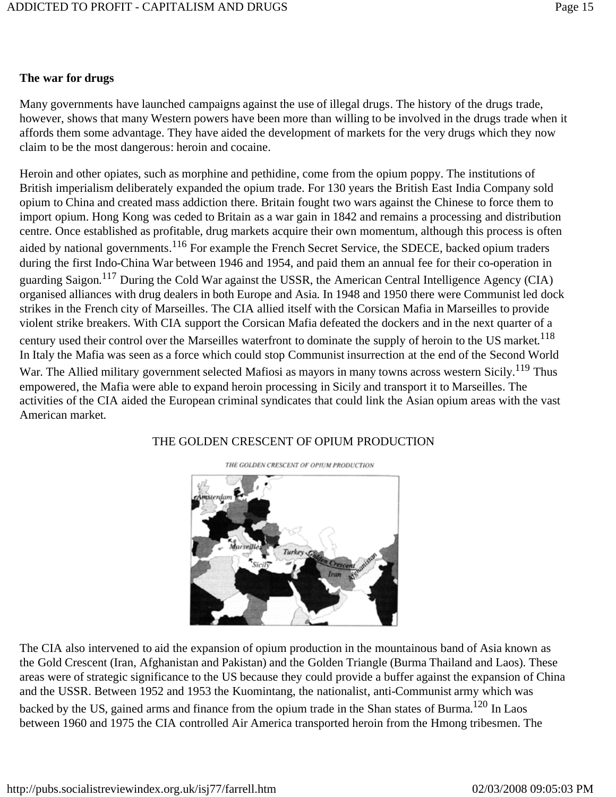### **The war for drugs**

Many governments have launched campaigns against the use of illegal drugs. The history of the drugs trade, however, shows that many Western powers have been more than willing to be involved in the drugs trade when it affords them some advantage. They have aided the development of markets for the very drugs which they now claim to be the most dangerous: heroin and cocaine.

Heroin and other opiates, such as morphine and pethidine, come from the opium poppy. The institutions of British imperialism deliberately expanded the opium trade. For 130 years the British East India Company sold opium to China and created mass addiction there. Britain fought two wars against the Chinese to force them to import opium. Hong Kong was ceded to Britain as a war gain in 1842 and remains a processing and distribution centre. Once established as profitable, drug markets acquire their own momentum, although this process is often aided by national governments.<sup>116</sup> For example the French Secret Service, the SDECE, backed opium traders during the first Indo-China War between 1946 and 1954, and paid them an annual fee for their co-operation in guarding Saigon.117 During the Cold War against the USSR, the American Central Intelligence Agency (CIA) organised alliances with drug dealers in both Europe and Asia. In 1948 and 1950 there were Communist led dock strikes in the French city of Marseilles. The CIA allied itself with the Corsican Mafia in Marseilles to provide violent strike breakers. With CIA support the Corsican Mafia defeated the dockers and in the next quarter of a century used their control over the Marseilles waterfront to dominate the supply of heroin to the US market.<sup>118</sup> In Italy the Mafia was seen as a force which could stop Communist insurrection at the end of the Second World War. The Allied military government selected Mafiosi as mayors in many towns across western Sicily.<sup>119</sup> Thus empowered, the Mafia were able to expand heroin processing in Sicily and transport it to Marseilles. The activities of the CIA aided the European criminal syndicates that could link the Asian opium areas with the vast American market.

### THE GOLDEN CRESCENT OF OPIUM PRODUCTION



THE GOLDEN CRESCENT OF OPIUM PRODUCTION

The CIA also intervened to aid the expansion of opium production in the mountainous band of Asia known as the Gold Crescent (Iran, Afghanistan and Pakistan) and the Golden Triangle (Burma Thailand and Laos). These areas were of strategic significance to the US because they could provide a buffer against the expansion of China and the USSR. Between 1952 and 1953 the Kuomintang, the nationalist, anti-Communist army which was backed by the US, gained arms and finance from the opium trade in the Shan states of Burma.<sup>120</sup> In Laos between 1960 and 1975 the CIA controlled Air America transported heroin from the Hmong tribesmen. The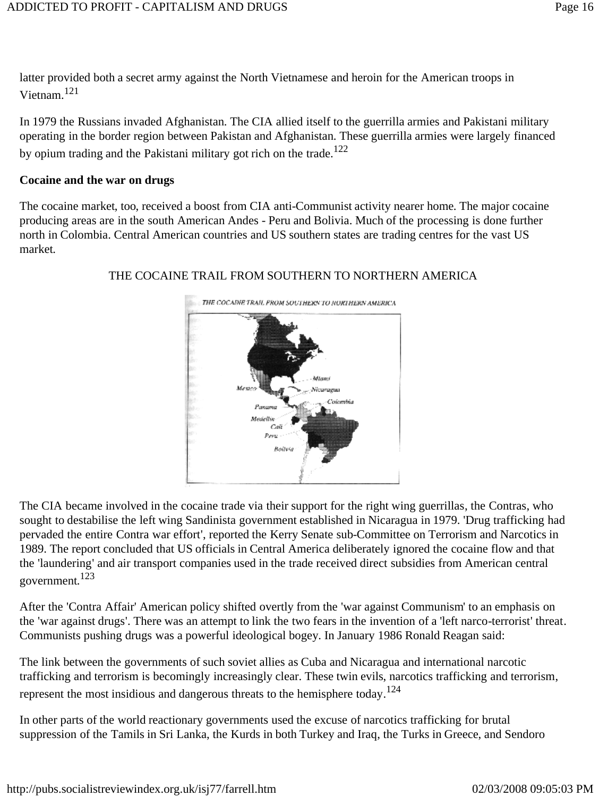latter provided both a secret army against the North Vietnamese and heroin for the American troops in Vietnam<sup>121</sup>

In 1979 the Russians invaded Afghanistan. The CIA allied itself to the guerrilla armies and Pakistani military operating in the border region between Pakistan and Afghanistan. These guerrilla armies were largely financed by opium trading and the Pakistani military got rich on the trade.<sup>122</sup>

#### **Cocaine and the war on drugs**

The cocaine market, too, received a boost from CIA anti-Communist activity nearer home. The major cocaine producing areas are in the south American Andes - Peru and Bolivia. Much of the processing is done further north in Colombia. Central American countries and US southern states are trading centres for the vast US market.



#### THE COCAINE TRAIL FROM SOUTHERN TO NORTHERN AMERICA

The CIA became involved in the cocaine trade via their support for the right wing guerrillas, the Contras, who sought to destabilise the left wing Sandinista government established in Nicaragua in 1979. 'Drug trafficking had pervaded the entire Contra war effort', reported the Kerry Senate sub-Committee on Terrorism and Narcotics in 1989. The report concluded that US officials in Central America deliberately ignored the cocaine flow and that the 'laundering' and air transport companies used in the trade received direct subsidies from American central government.123

After the 'Contra Affair' American policy shifted overtly from the 'war against Communism' to an emphasis on the 'war against drugs'. There was an attempt to link the two fears in the invention of a 'left narco-terrorist' threat. Communists pushing drugs was a powerful ideological bogey. In January 1986 Ronald Reagan said:

The link between the governments of such soviet allies as Cuba and Nicaragua and international narcotic trafficking and terrorism is becomingly increasingly clear. These twin evils, narcotics trafficking and terrorism, represent the most insidious and dangerous threats to the hemisphere today.<sup>124</sup>

In other parts of the world reactionary governments used the excuse of narcotics trafficking for brutal suppression of the Tamils in Sri Lanka, the Kurds in both Turkey and Iraq, the Turks in Greece, and Sendoro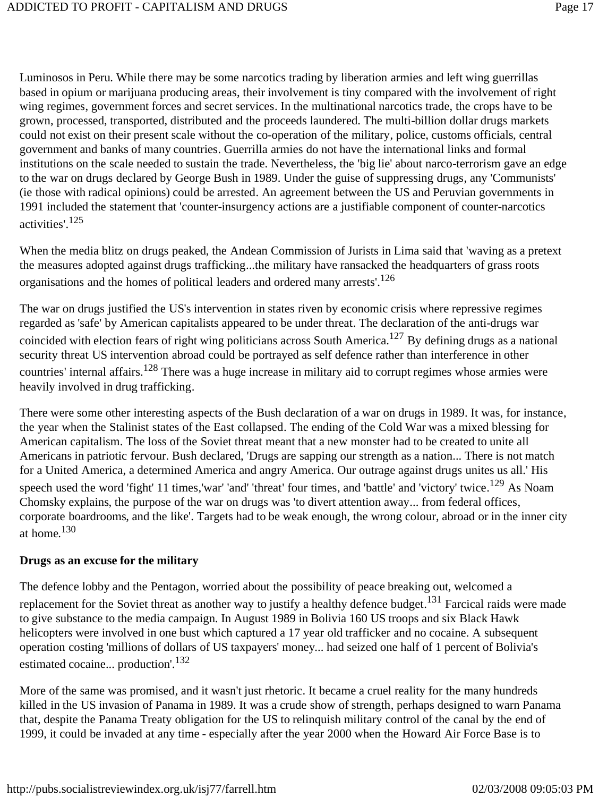Luminosos in Peru. While there may be some narcotics trading by liberation armies and left wing guerrillas based in opium or marijuana producing areas, their involvement is tiny compared with the involvement of right wing regimes, government forces and secret services. In the multinational narcotics trade, the crops have to be grown, processed, transported, distributed and the proceeds laundered. The multi-billion dollar drugs markets could not exist on their present scale without the co-operation of the military, police, customs officials, central government and banks of many countries. Guerrilla armies do not have the international links and formal institutions on the scale needed to sustain the trade. Nevertheless, the 'big lie' about narco-terrorism gave an edge to the war on drugs declared by George Bush in 1989. Under the guise of suppressing drugs, any 'Communists' (ie those with radical opinions) could be arrested. An agreement between the US and Peruvian governments in 1991 included the statement that 'counter-insurgency actions are a justifiable component of counter-narcotics activities'.125

When the media blitz on drugs peaked, the Andean Commission of Jurists in Lima said that 'waving as a pretext the measures adopted against drugs trafficking...the military have ransacked the headquarters of grass roots organisations and the homes of political leaders and ordered many arrests'.126

The war on drugs justified the US's intervention in states riven by economic crisis where repressive regimes regarded as 'safe' by American capitalists appeared to be under threat. The declaration of the anti-drugs war coincided with election fears of right wing politicians across South America.<sup>127</sup> By defining drugs as a national security threat US intervention abroad could be portrayed as self defence rather than interference in other countries' internal affairs.<sup>128</sup> There was a huge increase in military aid to corrupt regimes whose armies were heavily involved in drug trafficking.

There were some other interesting aspects of the Bush declaration of a war on drugs in 1989. It was, for instance, the year when the Stalinist states of the East collapsed. The ending of the Cold War was a mixed blessing for American capitalism. The loss of the Soviet threat meant that a new monster had to be created to unite all Americans in patriotic fervour. Bush declared, 'Drugs are sapping our strength as a nation... There is not match for a United America, a determined America and angry America. Our outrage against drugs unites us all.' His speech used the word 'fight' 11 times,'war' 'and' 'threat' four times, and 'battle' and 'victory' twice.<sup>129</sup> As Noam Chomsky explains, the purpose of the war on drugs was 'to divert attention away... from federal offices, corporate boardrooms, and the like'. Targets had to be weak enough, the wrong colour, abroad or in the inner city at home.130

#### **Drugs as an excuse for the military**

The defence lobby and the Pentagon, worried about the possibility of peace breaking out, welcomed a replacement for the Soviet threat as another way to justify a healthy defence budget.<sup>131</sup> Farcical raids were made to give substance to the media campaign. In August 1989 in Bolivia 160 US troops and six Black Hawk helicopters were involved in one bust which captured a 17 year old trafficker and no cocaine. A subsequent operation costing 'millions of dollars of US taxpayers' money... had seized one half of 1 percent of Bolivia's estimated cocaine... production'.<sup>132</sup>

More of the same was promised, and it wasn't just rhetoric. It became a cruel reality for the many hundreds killed in the US invasion of Panama in 1989. It was a crude show of strength, perhaps designed to warn Panama that, despite the Panama Treaty obligation for the US to relinquish military control of the canal by the end of 1999, it could be invaded at any time - especially after the year 2000 when the Howard Air Force Base is to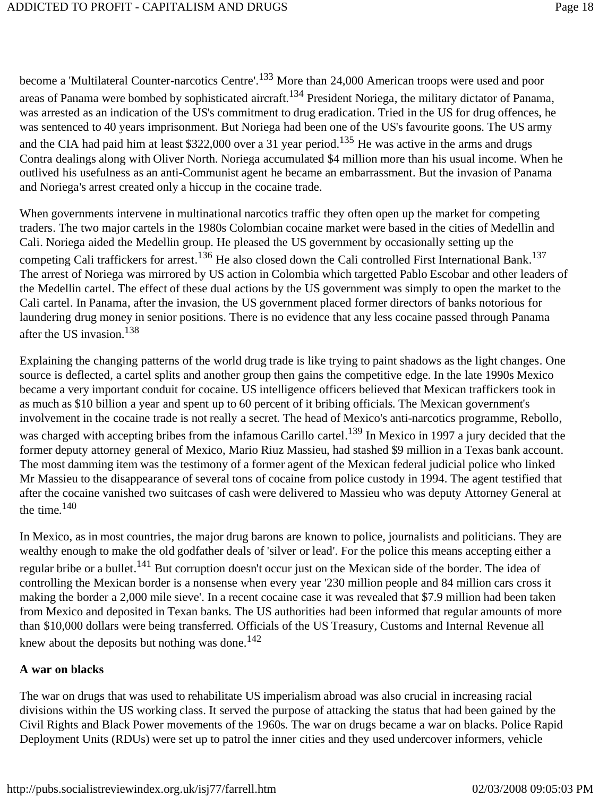become a 'Multilateral Counter-narcotics Centre'.<sup>133</sup> More than 24,000 American troops were used and poor areas of Panama were bombed by sophisticated aircraft.<sup>134</sup> President Noriega, the military dictator of Panama, was arrested as an indication of the US's commitment to drug eradication. Tried in the US for drug offences, he was sentenced to 40 years imprisonment. But Noriega had been one of the US's favourite goons. The US army and the CIA had paid him at least \$322,000 over a 31 year period.<sup>135</sup> He was active in the arms and drugs Contra dealings along with Oliver North. Noriega accumulated \$4 million more than his usual income. When he outlived his usefulness as an anti-Communist agent he became an embarrassment. But the invasion of Panama and Noriega's arrest created only a hiccup in the cocaine trade.

When governments intervene in multinational narcotics traffic they often open up the market for competing traders. The two major cartels in the 1980s Colombian cocaine market were based in the cities of Medellin and Cali. Noriega aided the Medellin group. He pleased the US government by occasionally setting up the competing Cali traffickers for arrest.<sup>136</sup> He also closed down the Cali controlled First International Bank.<sup>137</sup> The arrest of Noriega was mirrored by US action in Colombia which targetted Pablo Escobar and other leaders of the Medellin cartel. The effect of these dual actions by the US government was simply to open the market to the Cali cartel. In Panama, after the invasion, the US government placed former directors of banks notorious for laundering drug money in senior positions. There is no evidence that any less cocaine passed through Panama after the US invasion.138

Explaining the changing patterns of the world drug trade is like trying to paint shadows as the light changes. One source is deflected, a cartel splits and another group then gains the competitive edge. In the late 1990s Mexico became a very important conduit for cocaine. US intelligence officers believed that Mexican traffickers took in as much as \$10 billion a year and spent up to 60 percent of it bribing officials. The Mexican government's involvement in the cocaine trade is not really a secret. The head of Mexico's anti-narcotics programme, Rebollo, was charged with accepting bribes from the infamous Carillo cartel.<sup>139</sup> In Mexico in 1997 a jury decided that the former deputy attorney general of Mexico, Mario Riuz Massieu, had stashed \$9 million in a Texas bank account. The most damming item was the testimony of a former agent of the Mexican federal judicial police who linked Mr Massieu to the disappearance of several tons of cocaine from police custody in 1994. The agent testified that after the cocaine vanished two suitcases of cash were delivered to Massieu who was deputy Attorney General at the time. $140$ 

In Mexico, as in most countries, the major drug barons are known to police, journalists and politicians. They are wealthy enough to make the old godfather deals of 'silver or lead'. For the police this means accepting either a regular bribe or a bullet.<sup>141</sup> But corruption doesn't occur just on the Mexican side of the border. The idea of controlling the Mexican border is a nonsense when every year '230 million people and 84 million cars cross it making the border a 2,000 mile sieve'. In a recent cocaine case it was revealed that \$7.9 million had been taken from Mexico and deposited in Texan banks. The US authorities had been informed that regular amounts of more than \$10,000 dollars were being transferred. Officials of the US Treasury, Customs and Internal Revenue all knew about the deposits but nothing was done.<sup>142</sup>

#### **A war on blacks**

The war on drugs that was used to rehabilitate US imperialism abroad was also crucial in increasing racial divisions within the US working class. It served the purpose of attacking the status that had been gained by the Civil Rights and Black Power movements of the 1960s. The war on drugs became a war on blacks. Police Rapid Deployment Units (RDUs) were set up to patrol the inner cities and they used undercover informers, vehicle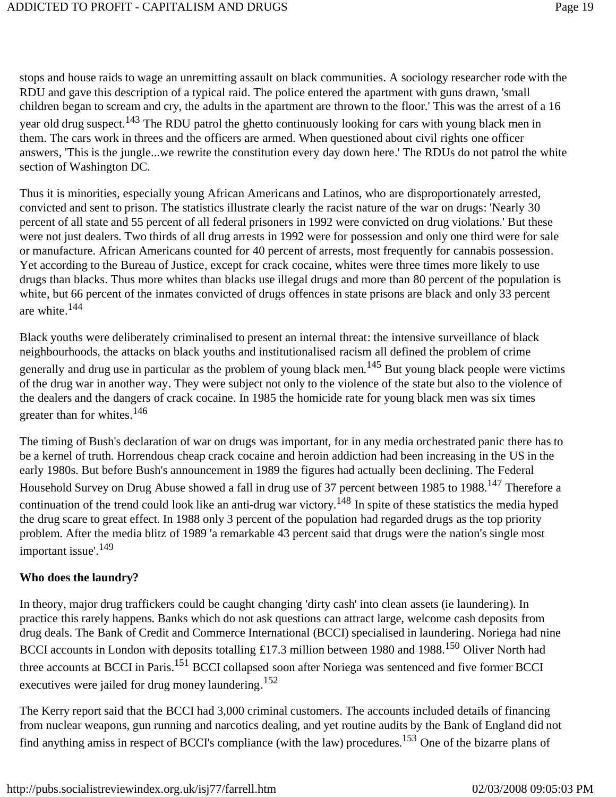stops and house raids to wage an unremitting assault on black communities. A sociology researcher rode with the RDU and gave this description of a typical raid. The police entered the apartment with guns drawn, 'small children began to scream and cry, the adults in the apartment are thrown to the floor.' This was the arrest of a 16 year old drug suspect.<sup>143</sup> The RDU patrol the ghetto continuously looking for cars with young black men in them. The cars work in threes and the officers are armed. When questioned about civil rights one officer answers, 'This is the jungle...we rewrite the constitution every day down here.' The RDUs do not patrol the white section of Washington DC.

Thus it is minorities, especially young African Americans and Latinos, who are disproportionately arrested, convicted and sent to prison. The statistics illustrate clearly the racist nature of the war on drugs: 'Nearly 30 percent of all state and 55 percent of all federal prisoners in 1992 were convicted on drug violations.' But these were not just dealers. Two thirds of all drug arrests in 1992 were for possession and only one third were for sale or manufacture. African Americans counted for 40 percent of arrests, most frequently for cannabis possession. Yet according to the Bureau of Justice, except for crack cocaine, whites were three times more likely to use drugs than blacks. Thus more whites than blacks use illegal drugs and more than 80 percent of the population is white, but 66 percent of the inmates convicted of drugs offences in state prisons are black and only 33 percent are white.144

Black youths were deliberately criminalised to present an internal threat: the intensive surveillance of black neighbourhoods, the attacks on black youths and institutionalised racism all defined the problem of crime generally and drug use in particular as the problem of young black men.<sup>145</sup> But young black people were victims of the drug war in another way. They were subject not only to the violence of the state but also to the violence of the dealers and the dangers of crack cocaine. In 1985 the homicide rate for young black men was six times greater than for whites.146

The timing of Bush's declaration of war on drugs was important, for in any media orchestrated panic there has to be a kernel of truth. Horrendous cheap crack cocaine and heroin addiction had been increasing in the US in the early 1980s. But before Bush's announcement in 1989 the figures had actually been declining. The Federal Household Survey on Drug Abuse showed a fall in drug use of 37 percent between 1985 to 1988.<sup>147</sup> Therefore a continuation of the trend could look like an anti-drug war victory.<sup>148</sup> In spite of these statistics the media hyped the drug scare to great effect. In 1988 only 3 percent of the population had regarded drugs as the top priority problem. After the media blitz of 1989 'a remarkable 43 percent said that drugs were the nation's single most important issue'.<sup>149</sup>

#### **Who does the laundry?**

In theory, major drug traffickers could be caught changing 'dirty cash' into clean assets (ie laundering). In practice this rarely happens. Banks which do not ask questions can attract large, welcome cash deposits from drug deals. The Bank of Credit and Commerce International (BCCI) specialised in laundering. Noriega had nine BCCI accounts in London with deposits totalling £17.3 million between 1980 and 1988.<sup>150</sup> Oliver North had three accounts at BCCI in Paris.<sup>151</sup> BCCI collapsed soon after Noriega was sentenced and five former BCCI executives were jailed for drug money laundering.<sup>152</sup>

The Kerry report said that the BCCI had 3,000 criminal customers. The accounts included details of financing from nuclear weapons, gun running and narcotics dealing, and yet routine audits by the Bank of England did not find anything amiss in respect of BCCI's compliance (with the law) procedures.153 One of the bizarre plans of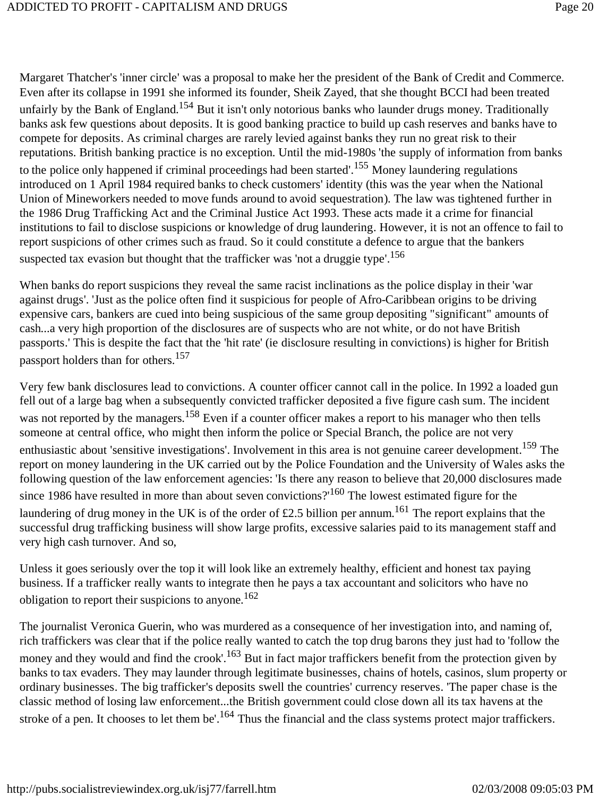Margaret Thatcher's 'inner circle' was a proposal to make her the president of the Bank of Credit and Commerce. Even after its collapse in 1991 she informed its founder, Sheik Zayed, that she thought BCCI had been treated unfairly by the Bank of England.<sup>154</sup> But it isn't only notorious banks who launder drugs money. Traditionally banks ask few questions about deposits. It is good banking practice to build up cash reserves and banks have to compete for deposits. As criminal charges are rarely levied against banks they run no great risk to their reputations. British banking practice is no exception. Until the mid-1980s 'the supply of information from banks to the police only happened if criminal proceedings had been started'.<sup>155</sup> Money laundering regulations introduced on 1 April 1984 required banks to check customers' identity (this was the year when the National Union of Mineworkers needed to move funds around to avoid sequestration). The law was tightened further in the 1986 Drug Trafficking Act and the Criminal Justice Act 1993. These acts made it a crime for financial institutions to fail to disclose suspicions or knowledge of drug laundering. However, it is not an offence to fail to report suspicions of other crimes such as fraud. So it could constitute a defence to argue that the bankers suspected tax evasion but thought that the trafficker was 'not a druggie type'.<sup>156</sup>

When banks do report suspicions they reveal the same racist inclinations as the police display in their 'war against drugs'. 'Just as the police often find it suspicious for people of Afro-Caribbean origins to be driving expensive cars, bankers are cued into being suspicious of the same group depositing "significant" amounts of cash...a very high proportion of the disclosures are of suspects who are not white, or do not have British passports.' This is despite the fact that the 'hit rate' (ie disclosure resulting in convictions) is higher for British passport holders than for others.157

Very few bank disclosures lead to convictions. A counter officer cannot call in the police. In 1992 a loaded gun fell out of a large bag when a subsequently convicted trafficker deposited a five figure cash sum. The incident was not reported by the managers.<sup>158</sup> Even if a counter officer makes a report to his manager who then tells someone at central office, who might then inform the police or Special Branch, the police are not very enthusiastic about 'sensitive investigations'. Involvement in this area is not genuine career development.<sup>159</sup> The report on money laundering in the UK carried out by the Police Foundation and the University of Wales asks the following question of the law enforcement agencies: 'Is there any reason to believe that 20,000 disclosures made since 1986 have resulted in more than about seven convictions?<sup>160</sup> The lowest estimated figure for the laundering of drug money in the UK is of the order of £2.5 billion per annum.<sup>161</sup> The report explains that the successful drug trafficking business will show large profits, excessive salaries paid to its management staff and very high cash turnover. And so,

Unless it goes seriously over the top it will look like an extremely healthy, efficient and honest tax paying business. If a trafficker really wants to integrate then he pays a tax accountant and solicitors who have no obligation to report their suspicions to anyone.<sup>162</sup>

The journalist Veronica Guerin, who was murdered as a consequence of her investigation into, and naming of, rich traffickers was clear that if the police really wanted to catch the top drug barons they just had to 'follow the money and they would and find the crook'.<sup>163</sup> But in fact major traffickers benefit from the protection given by banks to tax evaders. They may launder through legitimate businesses, chains of hotels, casinos, slum property or ordinary businesses. The big trafficker's deposits swell the countries' currency reserves. 'The paper chase is the classic method of losing law enforcement...the British government could close down all its tax havens at the stroke of a pen. It chooses to let them be'.<sup>164</sup> Thus the financial and the class systems protect major traffickers.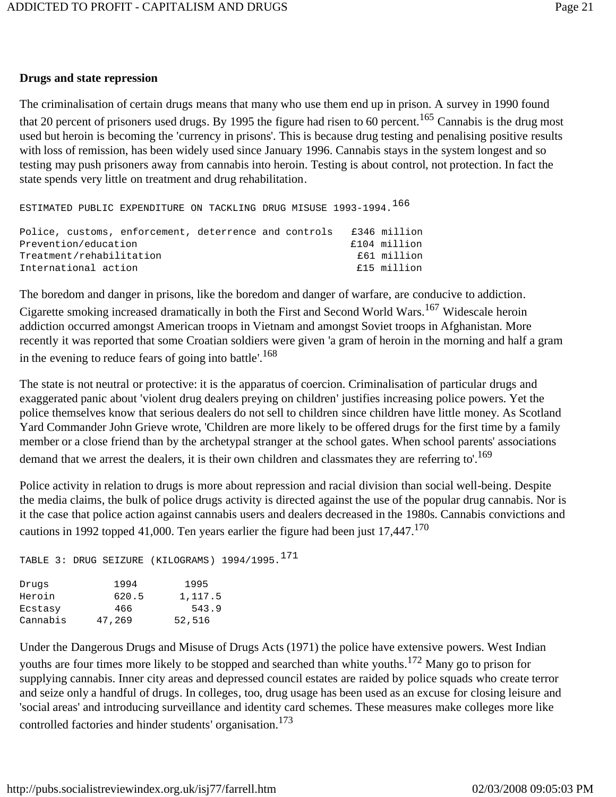#### **Drugs and state repression**

The criminalisation of certain drugs means that many who use them end up in prison. A survey in 1990 found that 20 percent of prisoners used drugs. By 1995 the figure had risen to 60 percent.<sup>165</sup> Cannabis is the drug most used but heroin is becoming the 'currency in prisons'. This is because drug testing and penalising positive results with loss of remission, has been widely used since January 1996. Cannabis stays in the system longest and so testing may push prisoners away from cannabis into heroin. Testing is about control, not protection. In fact the state spends very little on treatment and drug rehabilitation.

ESTIMATED PUBLIC EXPENDITURE ON TACKLING DRUG MISUSE 1993-1994.<sup>166</sup>

|                          |  | Police, customs, enforcement, deterrence and controls |  |             | £346 million |
|--------------------------|--|-------------------------------------------------------|--|-------------|--------------|
| Prevention/education     |  |                                                       |  |             | £104 million |
| Treatment/rehabilitation |  |                                                       |  | £61 million |              |
| International action     |  |                                                       |  |             | £15 million  |
|                          |  |                                                       |  |             |              |

The boredom and danger in prisons, like the boredom and danger of warfare, are conducive to addiction.

Cigarette smoking increased dramatically in both the First and Second World Wars.167 Widescale heroin addiction occurred amongst American troops in Vietnam and amongst Soviet troops in Afghanistan. More recently it was reported that some Croatian soldiers were given 'a gram of heroin in the morning and half a gram in the evening to reduce fears of going into battle'.<sup>168</sup>

The state is not neutral or protective: it is the apparatus of coercion. Criminalisation of particular drugs and exaggerated panic about 'violent drug dealers preying on children' justifies increasing police powers. Yet the police themselves know that serious dealers do not sell to children since children have little money. As Scotland Yard Commander John Grieve wrote, 'Children are more likely to be offered drugs for the first time by a family member or a close friend than by the archetypal stranger at the school gates. When school parents' associations demand that we arrest the dealers, it is their own children and classmates they are referring to'.<sup>169</sup>

Police activity in relation to drugs is more about repression and racial division than social well-being. Despite the media claims, the bulk of police drugs activity is directed against the use of the popular drug cannabis. Nor is it the case that police action against cannabis users and dealers decreased in the 1980s. Cannabis convictions and cautions in 1992 topped 41,000. Ten years earlier the figure had been just  $17,447$ .<sup>170</sup>

```
TABLE 3: DRUG SEIZURE (KILOGRAMS) 1994/1995.<sup>171</sup>
Drugs 1994 1995
Heroin 620.5 1,117.5
Ecstasy 466 543.9
Cannabis 47,269 52,516
```
Under the Dangerous Drugs and Misuse of Drugs Acts (1971) the police have extensive powers. West Indian youths are four times more likely to be stopped and searched than white youths.<sup>172</sup> Many go to prison for supplying cannabis. Inner city areas and depressed council estates are raided by police squads who create terror and seize only a handful of drugs. In colleges, too, drug usage has been used as an excuse for closing leisure and 'social areas' and introducing surveillance and identity card schemes. These measures make colleges more like controlled factories and hinder students' organisation.<sup>173</sup>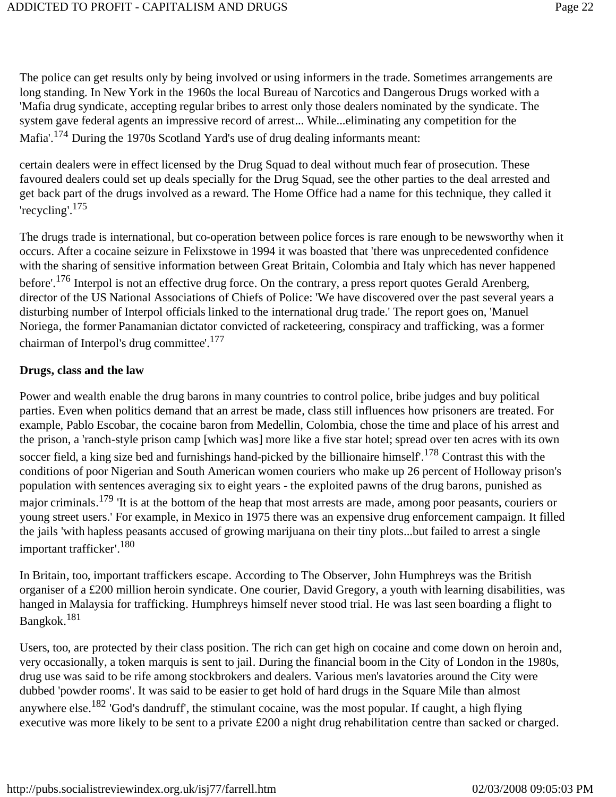The police can get results only by being involved or using informers in the trade. Sometimes arrangements are long standing. In New York in the 1960s the local Bureau of Narcotics and Dangerous Drugs worked with a 'Mafia drug syndicate, accepting regular bribes to arrest only those dealers nominated by the syndicate. The system gave federal agents an impressive record of arrest... While...eliminating any competition for the Mafia'.<sup>174</sup> During the 1970s Scotland Yard's use of drug dealing informants meant:

certain dealers were in effect licensed by the Drug Squad to deal without much fear of prosecution. These favoured dealers could set up deals specially for the Drug Squad, see the other parties to the deal arrested and get back part of the drugs involved as a reward. The Home Office had a name for this technique, they called it 'recycling'.175

The drugs trade is international, but co-operation between police forces is rare enough to be newsworthy when it occurs. After a cocaine seizure in Felixstowe in 1994 it was boasted that 'there was unprecedented confidence with the sharing of sensitive information between Great Britain, Colombia and Italy which has never happened before'.176 Interpol is not an effective drug force. On the contrary, a press report quotes Gerald Arenberg, director of the US National Associations of Chiefs of Police: 'We have discovered over the past several years a disturbing number of Interpol officials linked to the international drug trade.' The report goes on, 'Manuel Noriega, the former Panamanian dictator convicted of racketeering, conspiracy and trafficking, was a former chairman of Interpol's drug committee'.<sup>177</sup>

#### **Drugs, class and the law**

Power and wealth enable the drug barons in many countries to control police, bribe judges and buy political parties. Even when politics demand that an arrest be made, class still influences how prisoners are treated. For example, Pablo Escobar, the cocaine baron from Medellin, Colombia, chose the time and place of his arrest and the prison, a 'ranch-style prison camp [which was] more like a five star hotel; spread over ten acres with its own soccer field, a king size bed and furnishings hand-picked by the billionaire himself'.<sup>178</sup> Contrast this with the conditions of poor Nigerian and South American women couriers who make up 26 percent of Holloway prison's population with sentences averaging six to eight years - the exploited pawns of the drug barons, punished as major criminals.<sup>179</sup> 'It is at the bottom of the heap that most arrests are made, among poor peasants, couriers or young street users.' For example, in Mexico in 1975 there was an expensive drug enforcement campaign. It filled the jails 'with hapless peasants accused of growing marijuana on their tiny plots...but failed to arrest a single important trafficker'.180

In Britain, too, important traffickers escape. According to The Observer, John Humphreys was the British organiser of a £200 million heroin syndicate. One courier, David Gregory, a youth with learning disabilities, was hanged in Malaysia for trafficking. Humphreys himself never stood trial. He was last seen boarding a flight to Bangkok.181

Users, too, are protected by their class position. The rich can get high on cocaine and come down on heroin and, very occasionally, a token marquis is sent to jail. During the financial boom in the City of London in the 1980s, drug use was said to be rife among stockbrokers and dealers. Various men's lavatories around the City were dubbed 'powder rooms'. It was said to be easier to get hold of hard drugs in the Square Mile than almost anywhere else.182 'God's dandruff', the stimulant cocaine, was the most popular. If caught, a high flying executive was more likely to be sent to a private £200 a night drug rehabilitation centre than sacked or charged.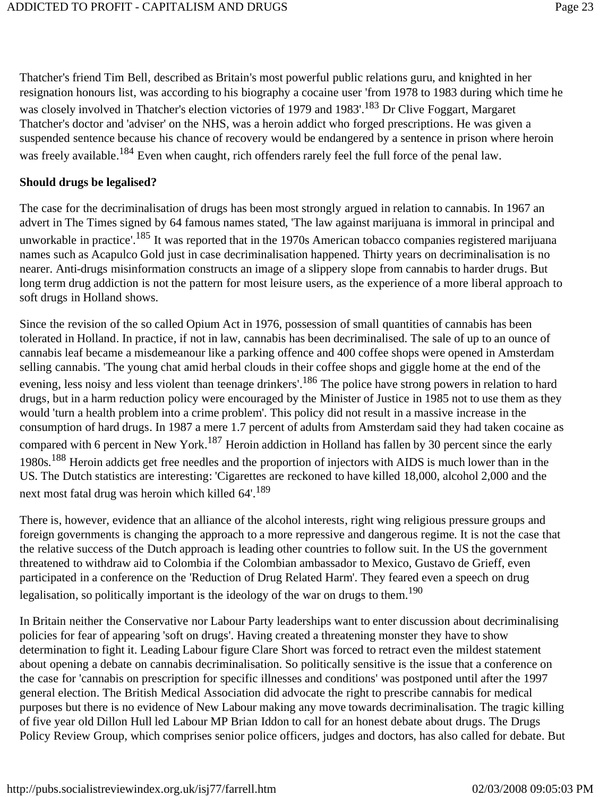Thatcher's friend Tim Bell, described as Britain's most powerful public relations guru, and knighted in her resignation honours list, was according to his biography a cocaine user 'from 1978 to 1983 during which time he was closely involved in Thatcher's election victories of 1979 and 1983'.<sup>183</sup> Dr Clive Foggart, Margaret Thatcher's doctor and 'adviser' on the NHS, was a heroin addict who forged prescriptions. He was given a suspended sentence because his chance of recovery would be endangered by a sentence in prison where heroin was freely available.<sup>184</sup> Even when caught, rich offenders rarely feel the full force of the penal law.

#### **Should drugs be legalised?**

The case for the decriminalisation of drugs has been most strongly argued in relation to cannabis. In 1967 an advert in The Times signed by 64 famous names stated, 'The law against marijuana is immoral in principal and unworkable in practice'.<sup>185</sup> It was reported that in the 1970s American tobacco companies registered marijuana names such as Acapulco Gold just in case decriminalisation happened. Thirty years on decriminalisation is no nearer. Anti-drugs misinformation constructs an image of a slippery slope from cannabis to harder drugs. But long term drug addiction is not the pattern for most leisure users, as the experience of a more liberal approach to soft drugs in Holland shows.

Since the revision of the so called Opium Act in 1976, possession of small quantities of cannabis has been tolerated in Holland. In practice, if not in law, cannabis has been decriminalised. The sale of up to an ounce of cannabis leaf became a misdemeanour like a parking offence and 400 coffee shops were opened in Amsterdam selling cannabis. 'The young chat amid herbal clouds in their coffee shops and giggle home at the end of the evening, less noisy and less violent than teenage drinkers'.<sup>186</sup> The police have strong powers in relation to hard drugs, but in a harm reduction policy were encouraged by the Minister of Justice in 1985 not to use them as they would 'turn a health problem into a crime problem'. This policy did not result in a massive increase in the consumption of hard drugs. In 1987 a mere 1.7 percent of adults from Amsterdam said they had taken cocaine as compared with 6 percent in New York.<sup>187</sup> Heroin addiction in Holland has fallen by 30 percent since the early 1980s.<sup>188</sup> Heroin addicts get free needles and the proportion of injectors with AIDS is much lower than in the US. The Dutch statistics are interesting: 'Cigarettes are reckoned to have killed 18,000, alcohol 2,000 and the next most fatal drug was heroin which killed  $64'$ .<sup>189</sup>

There is, however, evidence that an alliance of the alcohol interests, right wing religious pressure groups and foreign governments is changing the approach to a more repressive and dangerous regime. It is not the case that the relative success of the Dutch approach is leading other countries to follow suit. In the US the government threatened to withdraw aid to Colombia if the Colombian ambassador to Mexico, Gustavo de Grieff, even participated in a conference on the 'Reduction of Drug Related Harm'. They feared even a speech on drug legalisation, so politically important is the ideology of the war on drugs to them.<sup>190</sup>

In Britain neither the Conservative nor Labour Party leaderships want to enter discussion about decriminalising policies for fear of appearing 'soft on drugs'. Having created a threatening monster they have to show determination to fight it. Leading Labour figure Clare Short was forced to retract even the mildest statement about opening a debate on cannabis decriminalisation. So politically sensitive is the issue that a conference on the case for 'cannabis on prescription for specific illnesses and conditions' was postponed until after the 1997 general election. The British Medical Association did advocate the right to prescribe cannabis for medical purposes but there is no evidence of New Labour making any move towards decriminalisation. The tragic killing of five year old Dillon Hull led Labour MP Brian Iddon to call for an honest debate about drugs. The Drugs Policy Review Group, which comprises senior police officers, judges and doctors, has also called for debate. But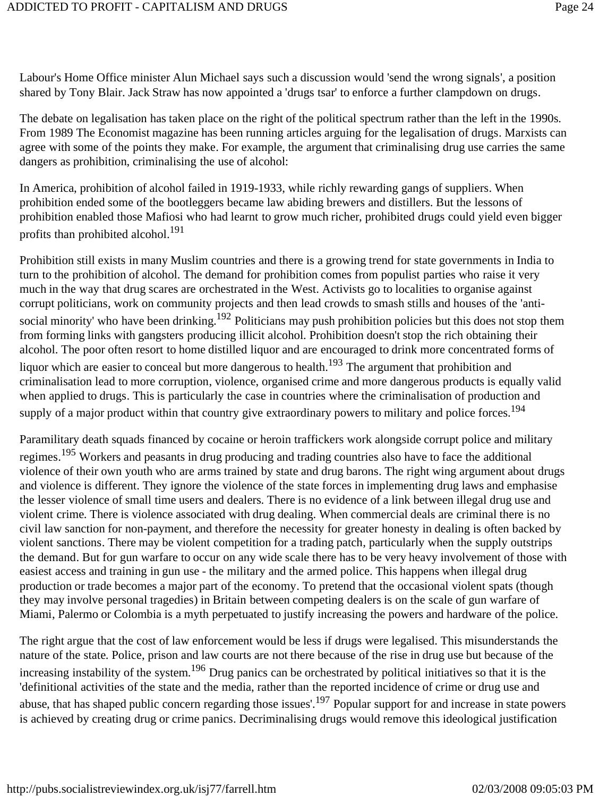Labour's Home Office minister Alun Michael says such a discussion would 'send the wrong signals', a position shared by Tony Blair. Jack Straw has now appointed a 'drugs tsar' to enforce a further clampdown on drugs.

The debate on legalisation has taken place on the right of the political spectrum rather than the left in the 1990s. From 1989 The Economist magazine has been running articles arguing for the legalisation of drugs. Marxists can agree with some of the points they make. For example, the argument that criminalising drug use carries the same dangers as prohibition, criminalising the use of alcohol:

In America, prohibition of alcohol failed in 1919-1933, while richly rewarding gangs of suppliers. When prohibition ended some of the bootleggers became law abiding brewers and distillers. But the lessons of prohibition enabled those Mafiosi who had learnt to grow much richer, prohibited drugs could yield even bigger profits than prohibited alcohol.<sup>191</sup>

Prohibition still exists in many Muslim countries and there is a growing trend for state governments in India to turn to the prohibition of alcohol. The demand for prohibition comes from populist parties who raise it very much in the way that drug scares are orchestrated in the West. Activists go to localities to organise against corrupt politicians, work on community projects and then lead crowds to smash stills and houses of the 'antisocial minority' who have been drinking.<sup>192</sup> Politicians may push prohibition policies but this does not stop them from forming links with gangsters producing illicit alcohol. Prohibition doesn't stop the rich obtaining their alcohol. The poor often resort to home distilled liquor and are encouraged to drink more concentrated forms of liquor which are easier to conceal but more dangerous to health.<sup>193</sup> The argument that prohibition and criminalisation lead to more corruption, violence, organised crime and more dangerous products is equally valid when applied to drugs. This is particularly the case in countries where the criminalisation of production and supply of a major product within that country give extraordinary powers to military and police forces.<sup>194</sup>

Paramilitary death squads financed by cocaine or heroin traffickers work alongside corrupt police and military regimes.195 Workers and peasants in drug producing and trading countries also have to face the additional violence of their own youth who are arms trained by state and drug barons. The right wing argument about drugs and violence is different. They ignore the violence of the state forces in implementing drug laws and emphasise the lesser violence of small time users and dealers. There is no evidence of a link between illegal drug use and violent crime. There is violence associated with drug dealing. When commercial deals are criminal there is no civil law sanction for non-payment, and therefore the necessity for greater honesty in dealing is often backed by violent sanctions. There may be violent competition for a trading patch, particularly when the supply outstrips the demand. But for gun warfare to occur on any wide scale there has to be very heavy involvement of those with easiest access and training in gun use - the military and the armed police. This happens when illegal drug production or trade becomes a major part of the economy. To pretend that the occasional violent spats (though they may involve personal tragedies) in Britain between competing dealers is on the scale of gun warfare of Miami, Palermo or Colombia is a myth perpetuated to justify increasing the powers and hardware of the police.

The right argue that the cost of law enforcement would be less if drugs were legalised. This misunderstands the nature of the state. Police, prison and law courts are not there because of the rise in drug use but because of the increasing instability of the system.<sup>196</sup> Drug panics can be orchestrated by political initiatives so that it is the 'definitional activities of the state and the media, rather than the reported incidence of crime or drug use and abuse, that has shaped public concern regarding those issues'.<sup>197</sup> Popular support for and increase in state powers is achieved by creating drug or crime panics. Decriminalising drugs would remove this ideological justification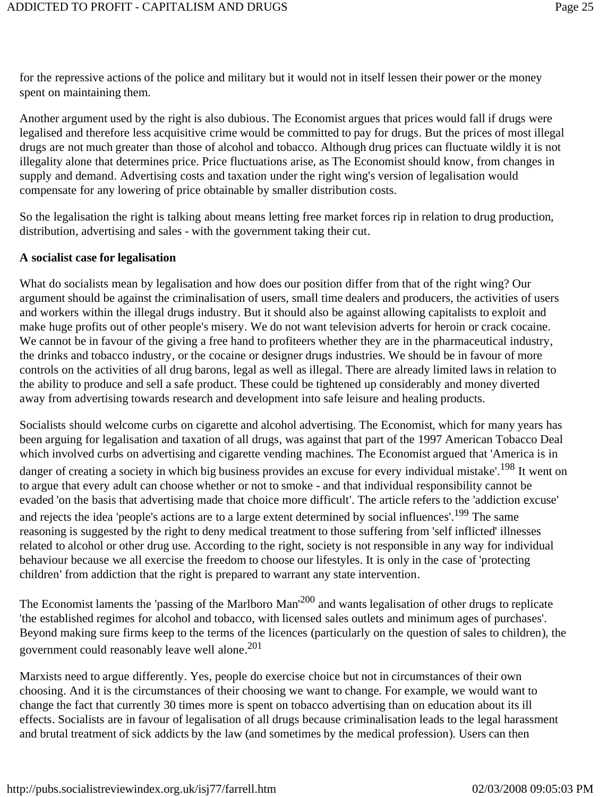for the repressive actions of the police and military but it would not in itself lessen their power or the money spent on maintaining them.

Another argument used by the right is also dubious. The Economist argues that prices would fall if drugs were legalised and therefore less acquisitive crime would be committed to pay for drugs. But the prices of most illegal drugs are not much greater than those of alcohol and tobacco. Although drug prices can fluctuate wildly it is not illegality alone that determines price. Price fluctuations arise, as The Economist should know, from changes in supply and demand. Advertising costs and taxation under the right wing's version of legalisation would compensate for any lowering of price obtainable by smaller distribution costs.

So the legalisation the right is talking about means letting free market forces rip in relation to drug production, distribution, advertising and sales - with the government taking their cut.

#### **A socialist case for legalisation**

What do socialists mean by legalisation and how does our position differ from that of the right wing? Our argument should be against the criminalisation of users, small time dealers and producers, the activities of users and workers within the illegal drugs industry. But it should also be against allowing capitalists to exploit and make huge profits out of other people's misery. We do not want television adverts for heroin or crack cocaine. We cannot be in favour of the giving a free hand to profiteers whether they are in the pharmaceutical industry, the drinks and tobacco industry, or the cocaine or designer drugs industries. We should be in favour of more controls on the activities of all drug barons, legal as well as illegal. There are already limited laws in relation to the ability to produce and sell a safe product. These could be tightened up considerably and money diverted away from advertising towards research and development into safe leisure and healing products.

Socialists should welcome curbs on cigarette and alcohol advertising. The Economist, which for many years has been arguing for legalisation and taxation of all drugs, was against that part of the 1997 American Tobacco Deal which involved curbs on advertising and cigarette vending machines. The Economist argued that 'America is in danger of creating a society in which big business provides an excuse for every individual mistake'.<sup>198</sup> It went on to argue that every adult can choose whether or not to smoke - and that individual responsibility cannot be evaded 'on the basis that advertising made that choice more difficult'. The article refers to the 'addiction excuse' and rejects the idea 'people's actions are to a large extent determined by social influences'.<sup>199</sup> The same reasoning is suggested by the right to deny medical treatment to those suffering from 'self inflicted' illnesses related to alcohol or other drug use. According to the right, society is not responsible in any way for individual behaviour because we all exercise the freedom to choose our lifestyles. It is only in the case of 'protecting children' from addiction that the right is prepared to warrant any state intervention.

The Economist laments the 'passing of the Marlboro Man<sup>'200</sup> and wants legalisation of other drugs to replicate 'the established regimes for alcohol and tobacco, with licensed sales outlets and minimum ages of purchases'. Beyond making sure firms keep to the terms of the licences (particularly on the question of sales to children), the government could reasonably leave well alone.201

Marxists need to argue differently. Yes, people do exercise choice but not in circumstances of their own choosing. And it is the circumstances of their choosing we want to change. For example, we would want to change the fact that currently 30 times more is spent on tobacco advertising than on education about its ill effects. Socialists are in favour of legalisation of all drugs because criminalisation leads to the legal harassment and brutal treatment of sick addicts by the law (and sometimes by the medical profession). Users can then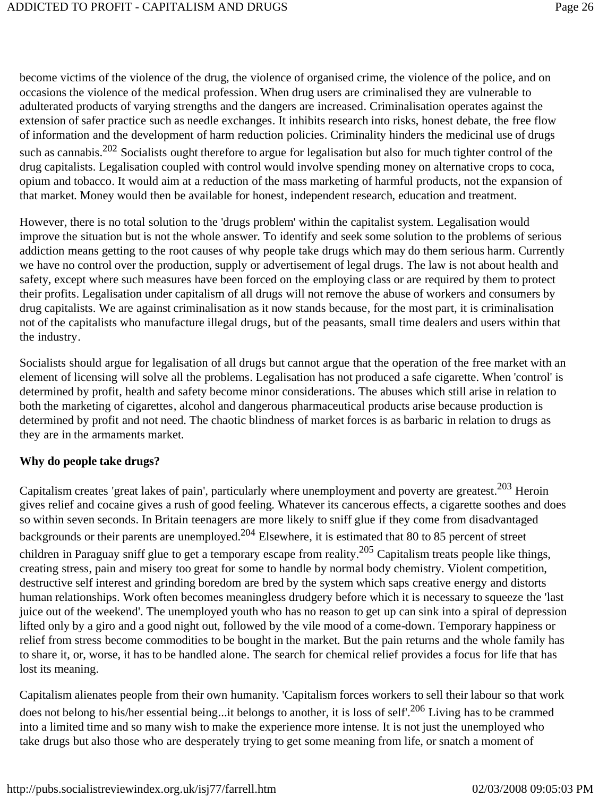become victims of the violence of the drug, the violence of organised crime, the violence of the police, and on occasions the violence of the medical profession. When drug users are criminalised they are vulnerable to adulterated products of varying strengths and the dangers are increased. Criminalisation operates against the extension of safer practice such as needle exchanges. It inhibits research into risks, honest debate, the free flow of information and the development of harm reduction policies. Criminality hinders the medicinal use of drugs such as cannabis.<sup>202</sup> Socialists ought therefore to argue for legalisation but also for much tighter control of the drug capitalists. Legalisation coupled with control would involve spending money on alternative crops to coca, opium and tobacco. It would aim at a reduction of the mass marketing of harmful products, not the expansion of that market. Money would then be available for honest, independent research, education and treatment.

However, there is no total solution to the 'drugs problem' within the capitalist system. Legalisation would improve the situation but is not the whole answer. To identify and seek some solution to the problems of serious addiction means getting to the root causes of why people take drugs which may do them serious harm. Currently we have no control over the production, supply or advertisement of legal drugs. The law is not about health and safety, except where such measures have been forced on the employing class or are required by them to protect their profits. Legalisation under capitalism of all drugs will not remove the abuse of workers and consumers by drug capitalists. We are against criminalisation as it now stands because, for the most part, it is criminalisation not of the capitalists who manufacture illegal drugs, but of the peasants, small time dealers and users within that the industry.

Socialists should argue for legalisation of all drugs but cannot argue that the operation of the free market with an element of licensing will solve all the problems. Legalisation has not produced a safe cigarette. When 'control' is determined by profit, health and safety become minor considerations. The abuses which still arise in relation to both the marketing of cigarettes, alcohol and dangerous pharmaceutical products arise because production is determined by profit and not need. The chaotic blindness of market forces is as barbaric in relation to drugs as they are in the armaments market.

#### **Why do people take drugs?**

Capitalism creates 'great lakes of pain', particularly where unemployment and poverty are greatest.<sup>203</sup> Heroin gives relief and cocaine gives a rush of good feeling. Whatever its cancerous effects, a cigarette soothes and does so within seven seconds. In Britain teenagers are more likely to sniff glue if they come from disadvantaged backgrounds or their parents are unemployed.204 Elsewhere, it is estimated that 80 to 85 percent of street children in Paraguay sniff glue to get a temporary escape from reality.<sup>205</sup> Capitalism treats people like things, creating stress, pain and misery too great for some to handle by normal body chemistry. Violent competition, destructive self interest and grinding boredom are bred by the system which saps creative energy and distorts human relationships. Work often becomes meaningless drudgery before which it is necessary to squeeze the 'last juice out of the weekend'. The unemployed youth who has no reason to get up can sink into a spiral of depression lifted only by a giro and a good night out, followed by the vile mood of a come-down. Temporary happiness or relief from stress become commodities to be bought in the market. But the pain returns and the whole family has to share it, or, worse, it has to be handled alone. The search for chemical relief provides a focus for life that has lost its meaning.

Capitalism alienates people from their own humanity. 'Capitalism forces workers to sell their labour so that work does not belong to his/her essential being...it belongs to another, it is loss of self.<sup>206</sup> Living has to be crammed into a limited time and so many wish to make the experience more intense. It is not just the unemployed who take drugs but also those who are desperately trying to get some meaning from life, or snatch a moment of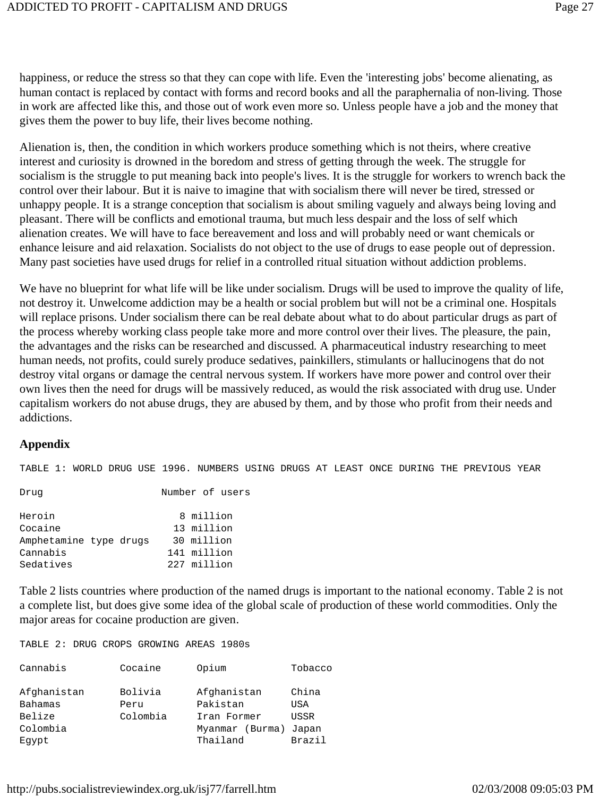happiness, or reduce the stress so that they can cope with life. Even the 'interesting jobs' become alienating, as human contact is replaced by contact with forms and record books and all the paraphernalia of non-living. Those in work are affected like this, and those out of work even more so. Unless people have a job and the money that gives them the power to buy life, their lives become nothing.

Alienation is, then, the condition in which workers produce something which is not theirs, where creative interest and curiosity is drowned in the boredom and stress of getting through the week. The struggle for socialism is the struggle to put meaning back into people's lives. It is the struggle for workers to wrench back the control over their labour. But it is naive to imagine that with socialism there will never be tired, stressed or unhappy people. It is a strange conception that socialism is about smiling vaguely and always being loving and pleasant. There will be conflicts and emotional trauma, but much less despair and the loss of self which alienation creates. We will have to face bereavement and loss and will probably need or want chemicals or enhance leisure and aid relaxation. Socialists do not object to the use of drugs to ease people out of depression. Many past societies have used drugs for relief in a controlled ritual situation without addiction problems.

We have no blueprint for what life will be like under socialism. Drugs will be used to improve the quality of life, not destroy it. Unwelcome addiction may be a health or social problem but will not be a criminal one. Hospitals will replace prisons. Under socialism there can be real debate about what to do about particular drugs as part of the process whereby working class people take more and more control over their lives. The pleasure, the pain, the advantages and the risks can be researched and discussed. A pharmaceutical industry researching to meet human needs, not profits, could surely produce sedatives, painkillers, stimulants or hallucinogens that do not destroy vital organs or damage the central nervous system. If workers have more power and control over their own lives then the need for drugs will be massively reduced, as would the risk associated with drug use. Under capitalism workers do not abuse drugs, they are abused by them, and by those who profit from their needs and addictions.

#### **Appendix**

TABLE 1: WORLD DRUG USE 1996. NUMBERS USING DRUGS AT LEAST ONCE DURING THE PREVIOUS YEAR

Drug Number of users

| 8 million   |
|-------------|
| 13 million  |
| 30 million  |
| 141 million |
| 227 million |
|             |

Table 2 lists countries where production of the named drugs is important to the national economy. Table 2 is not a complete list, but does give some idea of the global scale of production of these world commodities. Only the major areas for cocaine production are given.

TABLE 2: DRUG CROPS GROWING AREAS 1980s

| Cannabis               | Cocaine         | Opium                   | Tobacco      |
|------------------------|-----------------|-------------------------|--------------|
| Afghanistan<br>Bahamas | Bolivia<br>Peru | Afghanistan<br>Pakistan | China<br>USA |
| Belize                 | Colombia        | Iran Former             | <b>USSR</b>  |
| Colombia               |                 | Myanmar (Burma)         | Japan        |
| Eqypt                  |                 | Thailand                | Brazil       |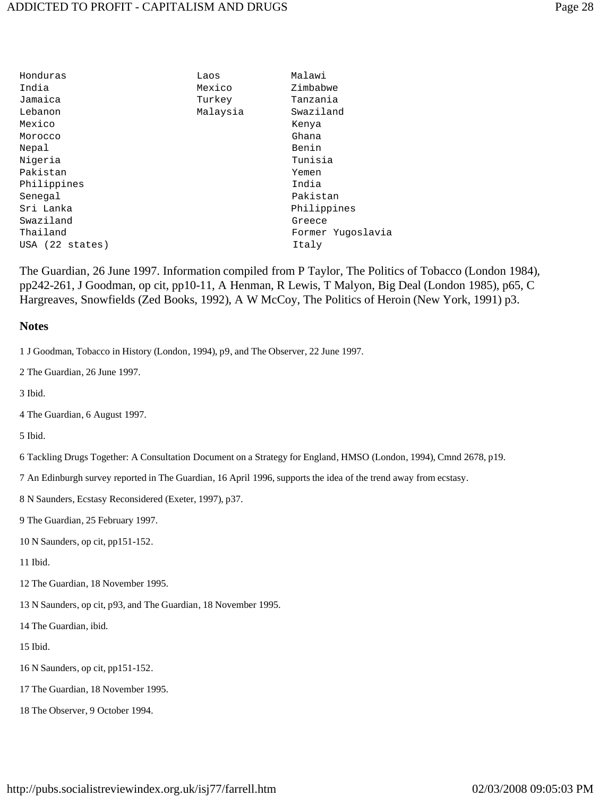| Honduras        | Laos     | Malawi            |
|-----------------|----------|-------------------|
| India           | Mexico   | Zimbabwe          |
| Jamaica         | Turkey   | Tanzania          |
| Lebanon         | Malaysia | Swaziland         |
| Mexico          |          | Kenya             |
| Morocco         |          | Ghana             |
| Nepal           |          | Benin             |
| Niqeria         |          | Tunisia           |
| Pakistan        |          | Yemen             |
| Philippines     |          | India             |
| Senegal         |          | Pakistan          |
| Sri Lanka       |          | Philippines       |
| Swaziland       |          | Greece            |
| Thailand        |          | Former Yugoslavia |
| USA (22 states) |          | Italy             |
|                 |          |                   |

The Guardian, 26 June 1997. Information compiled from P Taylor, The Politics of Tobacco (London 1984), pp242-261, J Goodman, op cit, pp10-11, A Henman, R Lewis, T Malyon, Big Deal (London 1985), p65, C Hargreaves, Snowfields (Zed Books, 1992), A W McCoy, The Politics of Heroin (New York, 1991) p3.

#### **Notes**

1 J Goodman, Tobacco in History (London, 1994), p9, and The Observer, 22 June 1997.

2 The Guardian, 26 June 1997.

3 Ibid.

4 The Guardian, 6 August 1997.

5 Ibid.

6 Tackling Drugs Together: A Consultation Document on a Strategy for England, HMSO (London, 1994), Cmnd 2678, p19.

7 An Edinburgh survey reported in The Guardian, 16 April 1996, supports the idea of the trend away from ecstasy.

8 N Saunders, Ecstasy Reconsidered (Exeter, 1997), p37.

9 The Guardian, 25 February 1997.

10 N Saunders, op cit, pp151-152.

11 Ibid.

12 The Guardian, 18 November 1995.

13 N Saunders, op cit, p93, and The Guardian, 18 November 1995.

14 The Guardian, ibid.

15 Ibid.

- 16 N Saunders, op cit, pp151-152.
- 17 The Guardian, 18 November 1995.
- 18 The Observer, 9 October 1994.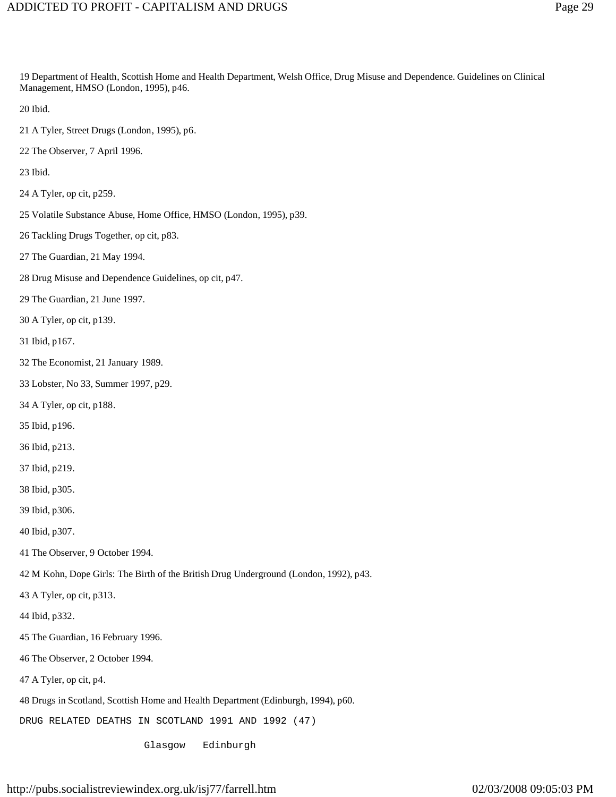19 Department of Health, Scottish Home and Health Department, Welsh Office, Drug Misuse and Dependence. Guidelines on Clinical Management, HMSO (London, 1995), p46.

20 Ibid.

- 21 A Tyler, Street Drugs (London, 1995), p6.
- 22 The Observer, 7 April 1996.

23 Ibid.

- 24 A Tyler, op cit, p259.
- 25 Volatile Substance Abuse, Home Office, HMSO (London, 1995), p39.
- 26 Tackling Drugs Together, op cit, p83.
- 27 The Guardian, 21 May 1994.
- 28 Drug Misuse and Dependence Guidelines, op cit, p47.
- 29 The Guardian, 21 June 1997.
- 30 A Tyler, op cit, p139.
- 31 Ibid, p167.
- 32 The Economist, 21 January 1989.
- 33 Lobster, No 33, Summer 1997, p29.
- 34 A Tyler, op cit, p188.
- 35 Ibid, p196.
- 36 Ibid, p213.
- 37 Ibid, p219.
- 38 Ibid, p305.
- 39 Ibid, p306.
- 40 Ibid, p307.
- 41 The Observer, 9 October 1994.
- 42 M Kohn, Dope Girls: The Birth of the British Drug Underground (London, 1992), p43.
- 43 A Tyler, op cit, p313.
- 44 Ibid, p332.
- 45 The Guardian, 16 February 1996.
- 46 The Observer, 2 October 1994.
- 47 A Tyler, op cit, p4.
- 48 Drugs in Scotland, Scottish Home and Health Department (Edinburgh, 1994), p60.
- DRUG RELATED DEATHS IN SCOTLAND 1991 AND 1992 (47)

Glasgow Edinburgh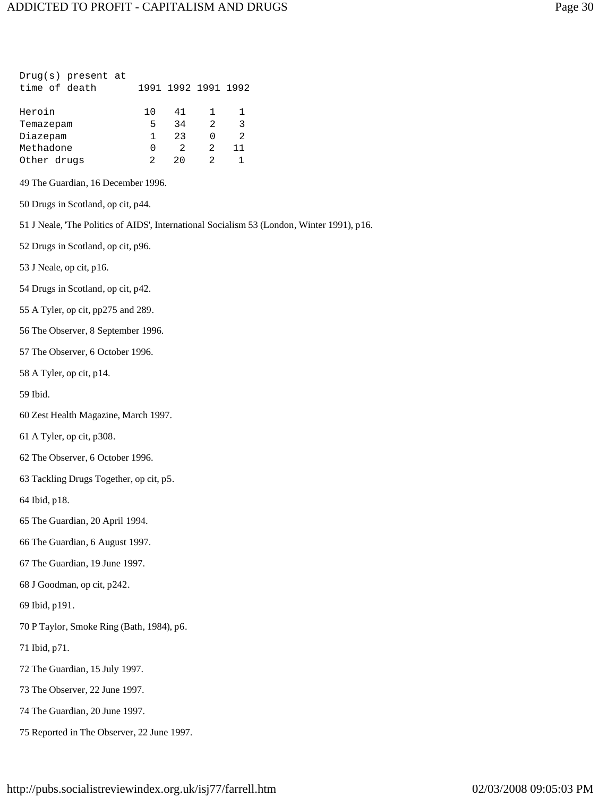| Drug(s) present at                         |        |                     |        |        |                                                                                            |
|--------------------------------------------|--------|---------------------|--------|--------|--------------------------------------------------------------------------------------------|
| time of death                              |        | 1991 1992 1991 1992 |        |        |                                                                                            |
| Heroin                                     | 10     | 41                  | 1      | 1      |                                                                                            |
| Temazepam<br>Diazepam                      | 5<br>1 | 34<br>23            | 2<br>0 | 3<br>2 |                                                                                            |
| Methadone                                  | 0      | 2                   | 2      | 11     |                                                                                            |
| Other drugs                                | 2      | 20                  | 2      | 1      |                                                                                            |
| 49 The Guardian, 16 December 1996.         |        |                     |        |        |                                                                                            |
| 50 Drugs in Scotland, op cit, p44.         |        |                     |        |        |                                                                                            |
|                                            |        |                     |        |        | 51 J Neale, 'The Politics of AIDS', International Socialism 53 (London, Winter 1991), p16. |
| 52 Drugs in Scotland, op cit, p96.         |        |                     |        |        |                                                                                            |
| 53 J Neale, op cit, p16.                   |        |                     |        |        |                                                                                            |
| 54 Drugs in Scotland, op cit, p42.         |        |                     |        |        |                                                                                            |
| 55 A Tyler, op cit, pp275 and 289.         |        |                     |        |        |                                                                                            |
| 56 The Observer, 8 September 1996.         |        |                     |        |        |                                                                                            |
| 57 The Observer, 6 October 1996.           |        |                     |        |        |                                                                                            |
| 58 A Tyler, op cit, p14.                   |        |                     |        |        |                                                                                            |
| 59 Ibid.                                   |        |                     |        |        |                                                                                            |
| 60 Zest Health Magazine, March 1997.       |        |                     |        |        |                                                                                            |
| 61 A Tyler, op cit, p308.                  |        |                     |        |        |                                                                                            |
| 62 The Observer, 6 October 1996.           |        |                     |        |        |                                                                                            |
| 63 Tackling Drugs Together, op cit, p5.    |        |                     |        |        |                                                                                            |
| 64 Ibid, p18.                              |        |                     |        |        |                                                                                            |
| 65 The Guardian, 20 April 1994.            |        |                     |        |        |                                                                                            |
| 66 The Guardian, 6 August 1997.            |        |                     |        |        |                                                                                            |
| 67 The Guardian, 19 June 1997.             |        |                     |        |        |                                                                                            |
| 68 J Goodman, op cit, p242.                |        |                     |        |        |                                                                                            |
| 69 Ibid, p191.                             |        |                     |        |        |                                                                                            |
| 70 P Taylor, Smoke Ring (Bath, 1984), p6.  |        |                     |        |        |                                                                                            |
| 71 Ibid, p71.                              |        |                     |        |        |                                                                                            |
| 72 The Guardian, 15 July 1997.             |        |                     |        |        |                                                                                            |
| 73 The Observer, 22 June 1997.             |        |                     |        |        |                                                                                            |
| 74 The Guardian, 20 June 1997.             |        |                     |        |        |                                                                                            |
| 75 Reported in The Observer, 22 June 1997. |        |                     |        |        |                                                                                            |
|                                            |        |                     |        |        |                                                                                            |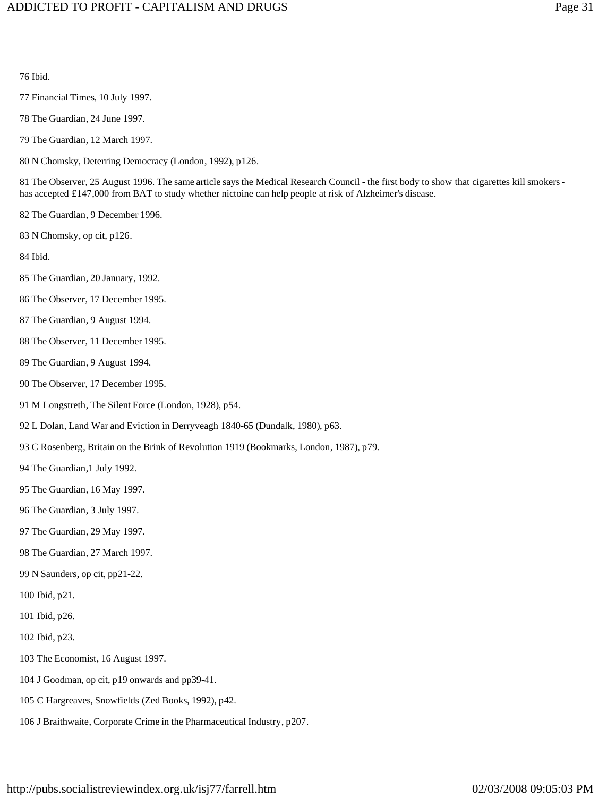#### 76 Ibid.

- 77 Financial Times, 10 July 1997.
- 78 The Guardian, 24 June 1997.
- 79 The Guardian, 12 March 1997.
- 80 N Chomsky, Deterring Democracy (London, 1992), p126.

81 The Observer, 25 August 1996. The same article says the Medical Research Council - the first body to show that cigarettes kill smokers has accepted £147,000 from BAT to study whether nictoine can help people at risk of Alzheimer's disease.

- 82 The Guardian, 9 December 1996.
- 83 N Chomsky, op cit, p126.

84 Ibid.

- 85 The Guardian, 20 January, 1992.
- 86 The Observer, 17 December 1995.
- 87 The Guardian, 9 August 1994.
- 88 The Observer, 11 December 1995.
- 89 The Guardian, 9 August 1994.
- 90 The Observer, 17 December 1995.
- 91 M Longstreth, The Silent Force (London, 1928), p54.
- 92 L Dolan, Land War and Eviction in Derryveagh 1840-65 (Dundalk, 1980), p63.
- 93 C Rosenberg, Britain on the Brink of Revolution 1919 (Bookmarks, London, 1987), p79.
- 94 The Guardian,1 July 1992.
- 95 The Guardian, 16 May 1997.
- 96 The Guardian, 3 July 1997.
- 97 The Guardian, 29 May 1997.
- 98 The Guardian, 27 March 1997.
- 99 N Saunders, op cit, pp21-22.
- 100 Ibid, p21.
- 101 Ibid, p26.
- 102 Ibid, p23.
- 103 The Economist, 16 August 1997.
- 104 J Goodman, op cit, p19 onwards and pp39-41.
- 105 C Hargreaves, Snowfields (Zed Books, 1992), p42.
- 106 J Braithwaite, Corporate Crime in the Pharmaceutical Industry, p207.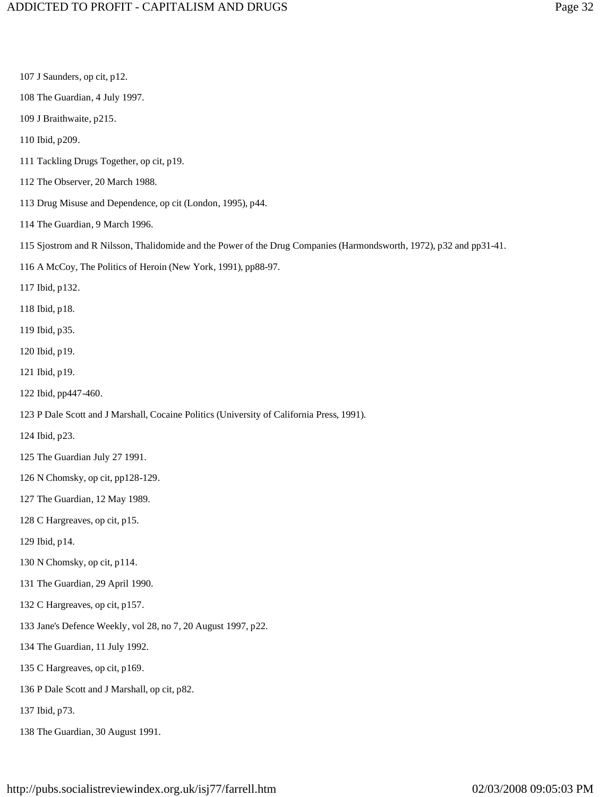107 J Saunders, op cit, p12. 108 The Guardian, 4 July 1997. 109 J Braithwaite, p215. 110 Ibid, p209. 111 Tackling Drugs Together, op cit, p19. 112 The Observer, 20 March 1988. 113 Drug Misuse and Dependence, op cit (London, 1995), p44. 114 The Guardian, 9 March 1996. 115 Sjostrom and R Nilsson, Thalidomide and the Power of the Drug Companies (Harmondsworth, 1972), p32 and pp31-41. 116 A McCoy, The Politics of Heroin (New York, 1991), pp88-97. 117 Ibid, p132. 118 Ibid, p18. 119 Ibid, p35. 120 Ibid, p19. 121 Ibid, p19. 122 Ibid, pp447-460. 123 P Dale Scott and J Marshall, Cocaine Politics (University of California Press, 1991). 124 Ibid, p23. 125 The Guardian July 27 1991. 126 N Chomsky, op cit, pp128-129. 127 The Guardian, 12 May 1989. 128 C Hargreaves, op cit, p15. 129 Ibid, p14. 130 N Chomsky, op cit, p114. 131 The Guardian, 29 April 1990. 132 C Hargreaves, op cit, p157. 133 Jane's Defence Weekly, vol 28, no 7, 20 August 1997, p22. 134 The Guardian, 11 July 1992. 135 C Hargreaves, op cit, p169. 136 P Dale Scott and J Marshall, op cit, p82. 137 Ibid, p73. 138 The Guardian, 30 August 1991.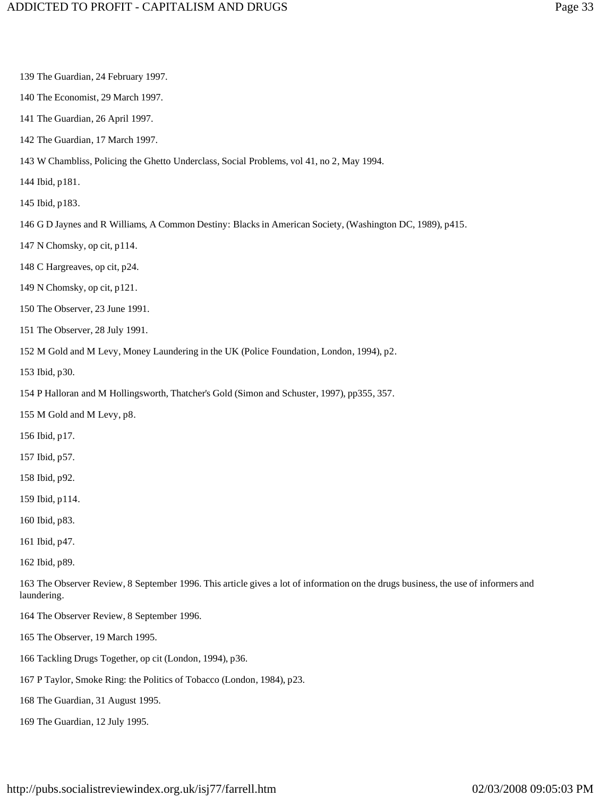139 The Guardian, 24 February 1997. 140 The Economist, 29 March 1997. 141 The Guardian, 26 April 1997. 142 The Guardian, 17 March 1997. 143 W Chambliss, Policing the Ghetto Underclass, Social Problems, vol 41, no 2, May 1994. 144 Ibid, p181. 145 Ibid, p183. 146 G D Jaynes and R Williams, A Common Destiny: Blacks in American Society, (Washington DC, 1989), p415. 147 N Chomsky, op cit, p114. 148 C Hargreaves, op cit, p24. 149 N Chomsky, op cit, p121. 150 The Observer, 23 June 1991. 151 The Observer, 28 July 1991. 152 M Gold and M Levy, Money Laundering in the UK (Police Foundation, London, 1994), p2. 153 Ibid, p30. 154 P Halloran and M Hollingsworth, Thatcher's Gold (Simon and Schuster, 1997), pp355, 357. 155 M Gold and M Levy, p8. 156 Ibid, p17. 157 Ibid, p57. 158 Ibid, p92. 159 Ibid, p114. 160 Ibid, p83. 161 Ibid, p47. 162 Ibid, p89. 163 The Observer Review, 8 September 1996. This article gives a lot of information on the drugs business, the use of informers and laundering. 164 The Observer Review, 8 September 1996. 165 The Observer, 19 March 1995. 166 Tackling Drugs Together, op cit (London, 1994), p36. 167 P Taylor, Smoke Ring: the Politics of Tobacco (London, 1984), p23. 168 The Guardian, 31 August 1995. 169 The Guardian, 12 July 1995.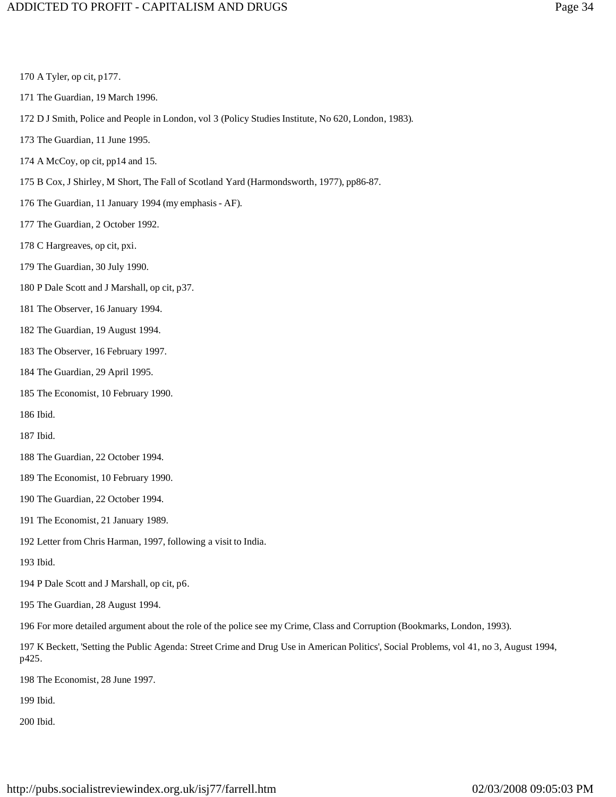#### ADDICTED TO PROFIT - CAPITALISM AND DRUGS Page 34

## 170 A Tyler, op cit, p177. 171 The Guardian, 19 March 1996. 172 D J Smith, Police and People in London, vol 3 (Policy Studies Institute, No 620, London, 1983). 173 The Guardian, 11 June 1995. 174 A McCoy, op cit, pp14 and 15. 175 B Cox, J Shirley, M Short, The Fall of Scotland Yard (Harmondsworth, 1977), pp86-87. 176 The Guardian, 11 January 1994 (my emphasis - AF). 177 The Guardian, 2 October 1992. 178 C Hargreaves, op cit, pxi. 179 The Guardian, 30 July 1990. 180 P Dale Scott and J Marshall, op cit, p37. 181 The Observer, 16 January 1994. 182 The Guardian, 19 August 1994. 183 The Observer, 16 February 1997. 184 The Guardian, 29 April 1995. 185 The Economist, 10 February 1990. 186 Ibid. 187 Ibid. 188 The Guardian, 22 October 1994. 189 The Economist, 10 February 1990. 190 The Guardian, 22 October 1994. 191 The Economist, 21 January 1989. 192 Letter from Chris Harman, 1997, following a visit to India. 193 Ibid. 194 P Dale Scott and J Marshall, op cit, p6. 195 The Guardian, 28 August 1994.

196 For more detailed argument about the role of the police see my Crime, Class and Corruption (Bookmarks, London, 1993).

197 K Beckett, 'Setting the Public Agenda: Street Crime and Drug Use in American Politics', Social Problems, vol 41, no 3, August 1994, p425.

198 The Economist, 28 June 1997.

199 Ibid.

200 Ibid.